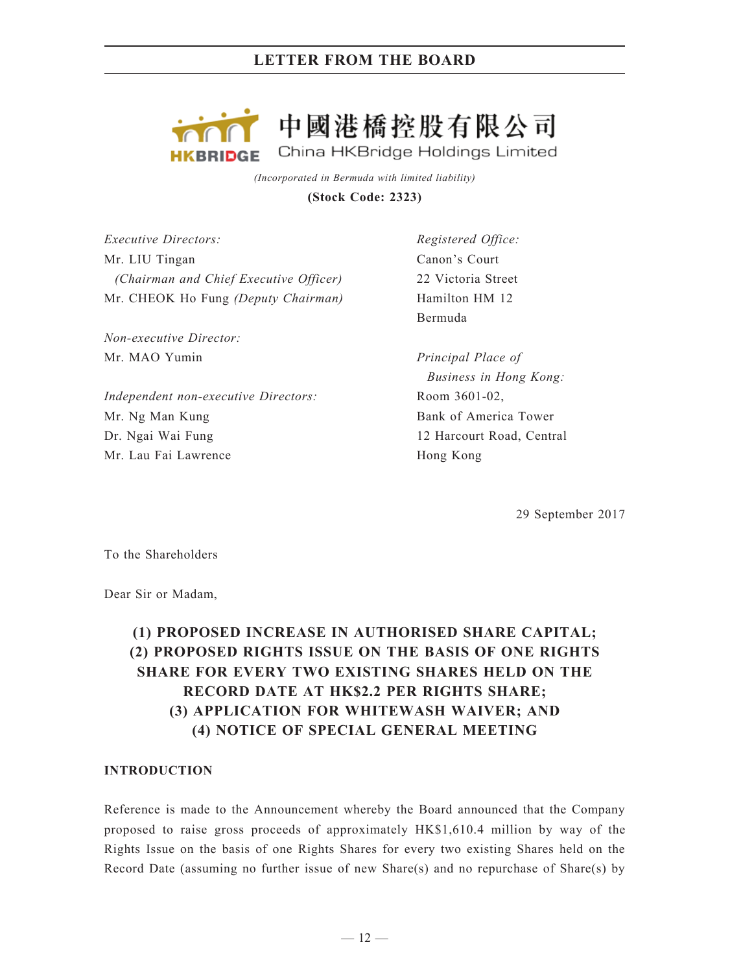

*(Incorporated in Bermuda with limited liability)* **(Stock Code: 2323)**

*Executive Directors:* Mr. LIU Tingan *(Chairman and Chief Executive Officer)* Mr. CHEOK Ho Fung *(Deputy Chairman)*

*Non-executive Director:* Mr. MAO Yumin

*Independent non-executive Directors:* Mr. Ng Man Kung Dr. Ngai Wai Fung Mr. Lau Fai Lawrence

*Registered Office:* Canon's Court 22 Victoria Street Hamilton HM 12 Bermuda

*Principal Place of Business in Hong Kong:* Room 3601-02, Bank of America Tower 12 Harcourt Road, Central Hong Kong

29 September 2017

To the Shareholders

Dear Sir or Madam,

# **(1) PROPOSED INCREASE IN AUTHORISED SHARE CAPITAL; (2) PROPOSED RIGHTS ISSUE ON THE BASIS OF ONE RIGHTS SHARE FOR EVERY TWO EXISTING SHARES HELD ON THE RECORD DATE AT HK\$2.2 PER RIGHTS SHARE; (3) APPLICATION FOR WHITEWASH WAIVER; AND (4) NOTICE OF SPECIAL GENERAL MEETING**

## **INTRODUCTION**

Reference is made to the Announcement whereby the Board announced that the Company proposed to raise gross proceeds of approximately HK\$1,610.4 million by way of the Rights Issue on the basis of one Rights Shares for every two existing Shares held on the Record Date (assuming no further issue of new Share(s) and no repurchase of Share(s) by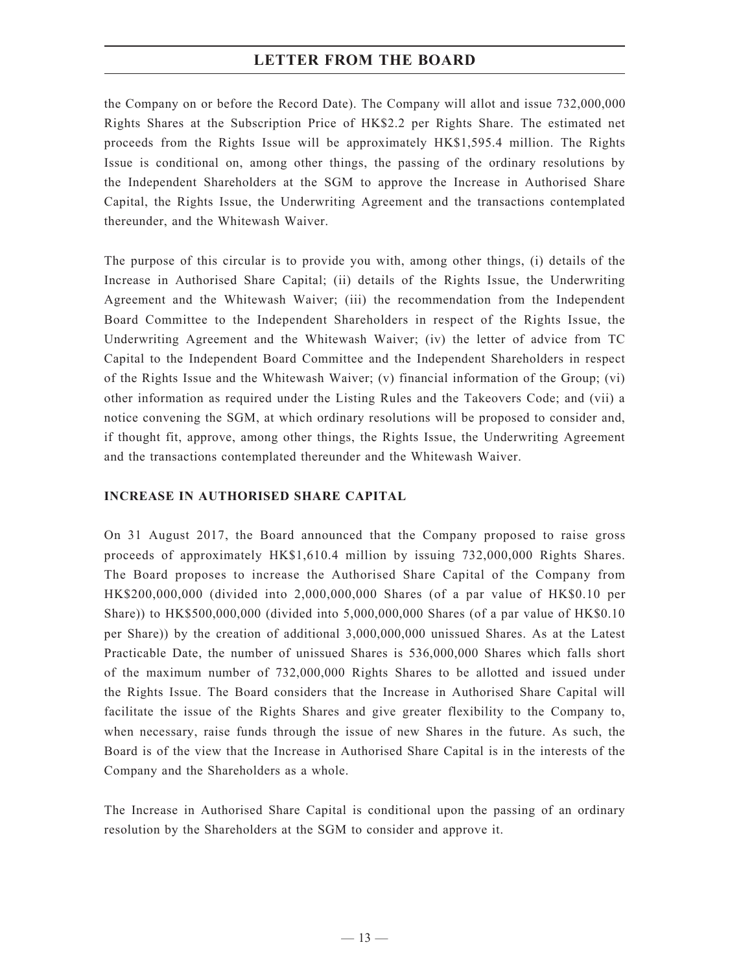the Company on or before the Record Date). The Company will allot and issue 732,000,000 Rights Shares at the Subscription Price of HK\$2.2 per Rights Share. The estimated net proceeds from the Rights Issue will be approximately HK\$1,595.4 million. The Rights Issue is conditional on, among other things, the passing of the ordinary resolutions by the Independent Shareholders at the SGM to approve the Increase in Authorised Share Capital, the Rights Issue, the Underwriting Agreement and the transactions contemplated thereunder, and the Whitewash Waiver.

The purpose of this circular is to provide you with, among other things, (i) details of the Increase in Authorised Share Capital; (ii) details of the Rights Issue, the Underwriting Agreement and the Whitewash Waiver; (iii) the recommendation from the Independent Board Committee to the Independent Shareholders in respect of the Rights Issue, the Underwriting Agreement and the Whitewash Waiver; (iv) the letter of advice from TC Capital to the Independent Board Committee and the Independent Shareholders in respect of the Rights Issue and the Whitewash Waiver; (v) financial information of the Group; (vi) other information as required under the Listing Rules and the Takeovers Code; and (vii) a notice convening the SGM, at which ordinary resolutions will be proposed to consider and, if thought fit, approve, among other things, the Rights Issue, the Underwriting Agreement and the transactions contemplated thereunder and the Whitewash Waiver.

## **INCREASE IN AUTHORISED SHARE CAPITAL**

On 31 August 2017, the Board announced that the Company proposed to raise gross proceeds of approximately HK\$1,610.4 million by issuing 732,000,000 Rights Shares. The Board proposes to increase the Authorised Share Capital of the Company from HK\$200,000,000 (divided into 2,000,000,000 Shares (of a par value of HK\$0.10 per Share)) to HK\$500,000,000 (divided into 5,000,000,000 Shares (of a par value of HK\$0.10 per Share)) by the creation of additional 3,000,000,000 unissued Shares. As at the Latest Practicable Date, the number of unissued Shares is 536,000,000 Shares which falls short of the maximum number of 732,000,000 Rights Shares to be allotted and issued under the Rights Issue. The Board considers that the Increase in Authorised Share Capital will facilitate the issue of the Rights Shares and give greater flexibility to the Company to, when necessary, raise funds through the issue of new Shares in the future. As such, the Board is of the view that the Increase in Authorised Share Capital is in the interests of the Company and the Shareholders as a whole.

The Increase in Authorised Share Capital is conditional upon the passing of an ordinary resolution by the Shareholders at the SGM to consider and approve it.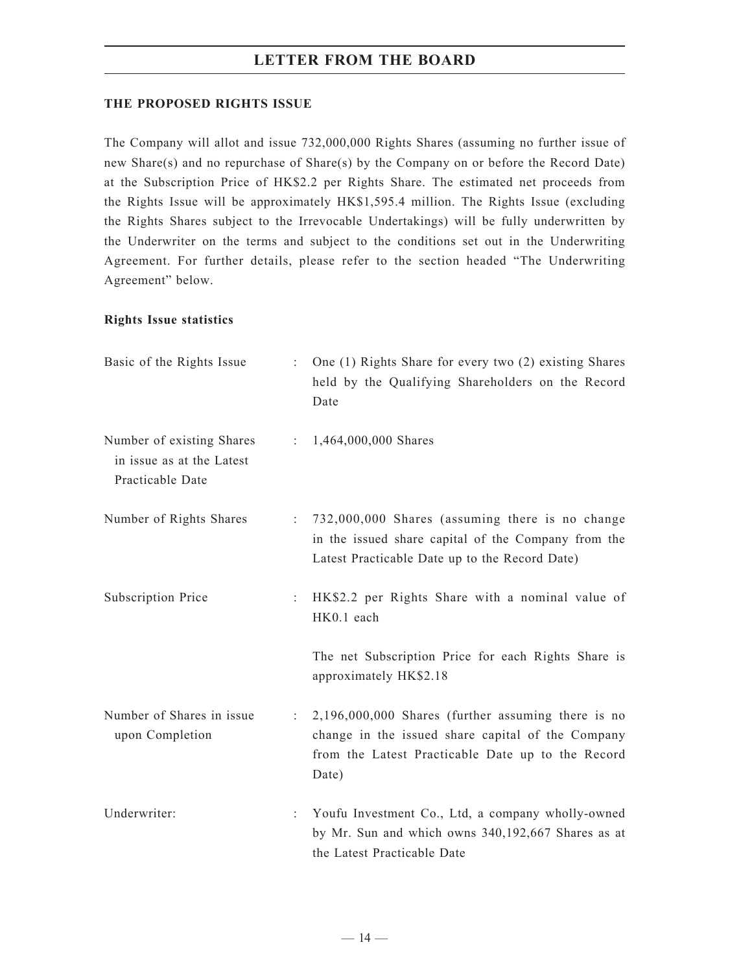## **THE PROPOSED RIGHTS ISSUE**

The Company will allot and issue 732,000,000 Rights Shares (assuming no further issue of new Share(s) and no repurchase of Share(s) by the Company on or before the Record Date) at the Subscription Price of HK\$2.2 per Rights Share. The estimated net proceeds from the Rights Issue will be approximately HK\$1,595.4 million. The Rights Issue (excluding the Rights Shares subject to the Irrevocable Undertakings) will be fully underwritten by the Underwriter on the terms and subject to the conditions set out in the Underwriting Agreement. For further details, please refer to the section headed "The Underwriting Agreement" below.

## **Rights Issue statistics**

| Basic of the Rights Issue                                                  |    | One (1) Rights Share for every two (2) existing Shares<br>held by the Qualifying Shareholders on the Record<br>Date                                                     |
|----------------------------------------------------------------------------|----|-------------------------------------------------------------------------------------------------------------------------------------------------------------------------|
| Number of existing Shares<br>in issue as at the Latest<br>Practicable Date |    | : $1,464,000,000$ Shares                                                                                                                                                |
| Number of Rights Shares                                                    |    | 732,000,000 Shares (assuming there is no change<br>in the issued share capital of the Company from the<br>Latest Practicable Date up to the Record Date)                |
| Subscription Price                                                         |    | HK\$2.2 per Rights Share with a nominal value of<br>HK0.1 each                                                                                                          |
|                                                                            |    | The net Subscription Price for each Rights Share is<br>approximately HK\$2.18                                                                                           |
| Number of Shares in issue<br>upon Completion                               | ÷. | $2,196,000,000$ Shares (further assuming there is no<br>change in the issued share capital of the Company<br>from the Latest Practicable Date up to the Record<br>Date) |
| Underwriter:                                                               |    | Youfu Investment Co., Ltd, a company wholly-owned<br>by Mr. Sun and which owns 340,192,667 Shares as at<br>the Latest Practicable Date                                  |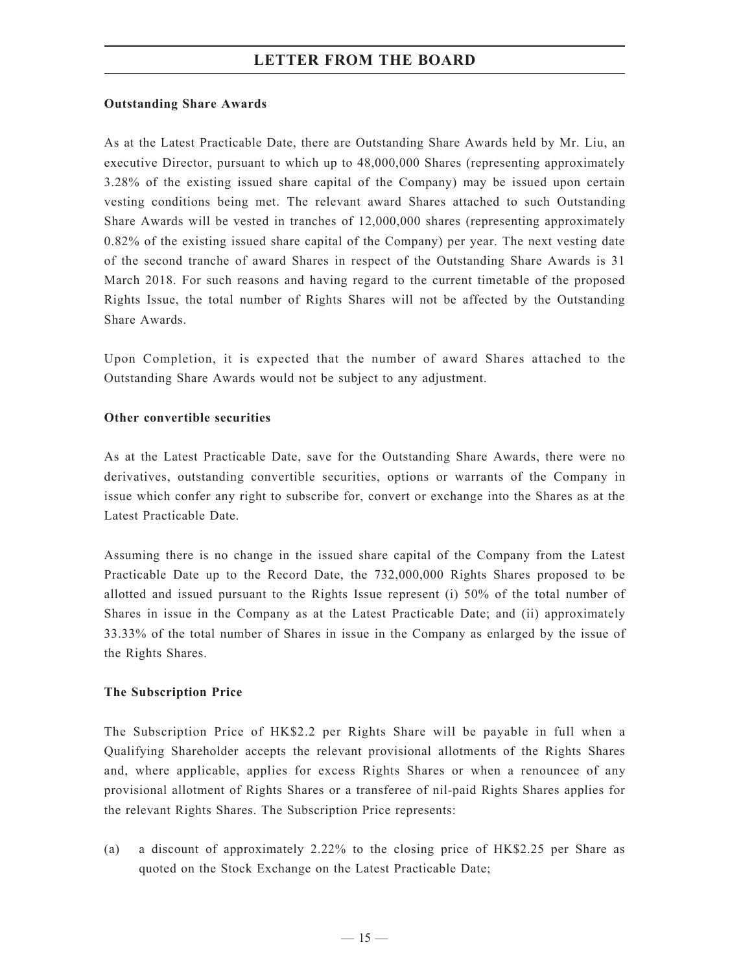#### **Outstanding Share Awards**

As at the Latest Practicable Date, there are Outstanding Share Awards held by Mr. Liu, an executive Director, pursuant to which up to 48,000,000 Shares (representing approximately 3.28% of the existing issued share capital of the Company) may be issued upon certain vesting conditions being met. The relevant award Shares attached to such Outstanding Share Awards will be vested in tranches of 12,000,000 shares (representing approximately 0.82% of the existing issued share capital of the Company) per year. The next vesting date of the second tranche of award Shares in respect of the Outstanding Share Awards is 31 March 2018. For such reasons and having regard to the current timetable of the proposed Rights Issue, the total number of Rights Shares will not be affected by the Outstanding Share Awards.

Upon Completion, it is expected that the number of award Shares attached to the Outstanding Share Awards would not be subject to any adjustment.

#### **Other convertible securities**

As at the Latest Practicable Date, save for the Outstanding Share Awards, there were no derivatives, outstanding convertible securities, options or warrants of the Company in issue which confer any right to subscribe for, convert or exchange into the Shares as at the Latest Practicable Date.

Assuming there is no change in the issued share capital of the Company from the Latest Practicable Date up to the Record Date, the 732,000,000 Rights Shares proposed to be allotted and issued pursuant to the Rights Issue represent (i) 50% of the total number of Shares in issue in the Company as at the Latest Practicable Date; and (ii) approximately 33.33% of the total number of Shares in issue in the Company as enlarged by the issue of the Rights Shares.

## **The Subscription Price**

The Subscription Price of HK\$2.2 per Rights Share will be payable in full when a Qualifying Shareholder accepts the relevant provisional allotments of the Rights Shares and, where applicable, applies for excess Rights Shares or when a renouncee of any provisional allotment of Rights Shares or a transferee of nil-paid Rights Shares applies for the relevant Rights Shares. The Subscription Price represents:

(a) a discount of approximately 2.22% to the closing price of HK\$2.25 per Share as quoted on the Stock Exchange on the Latest Practicable Date;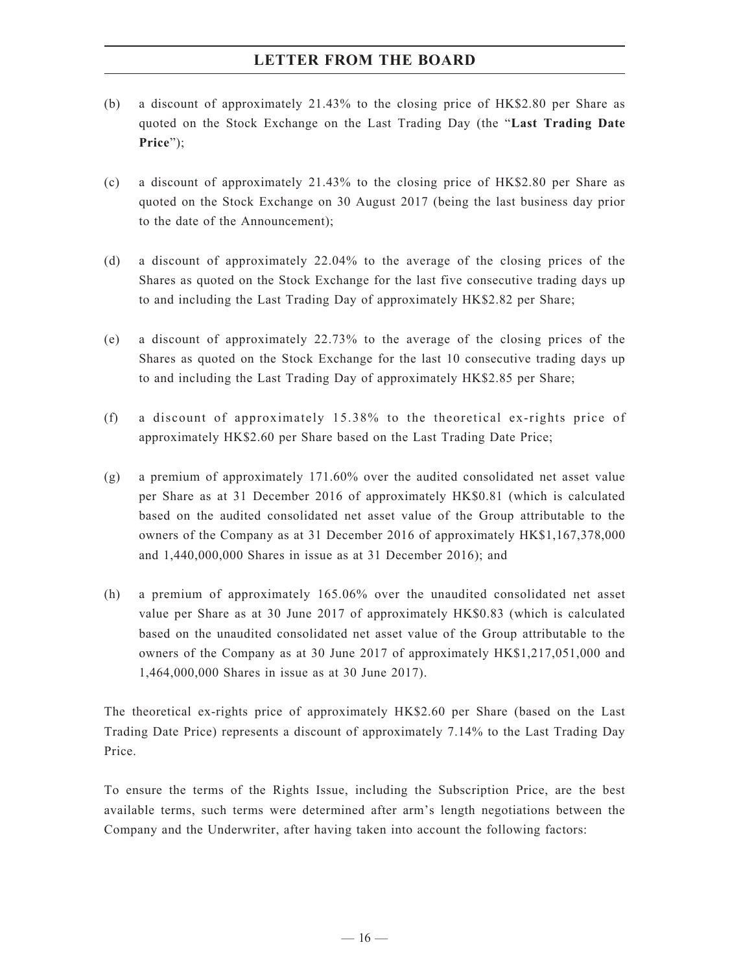- (b) a discount of approximately 21.43% to the closing price of HK\$2.80 per Share as quoted on the Stock Exchange on the Last Trading Day (the "**Last Trading Date Price**");
- (c) a discount of approximately 21.43% to the closing price of HK\$2.80 per Share as quoted on the Stock Exchange on 30 August 2017 (being the last business day prior to the date of the Announcement);
- (d) a discount of approximately 22.04% to the average of the closing prices of the Shares as quoted on the Stock Exchange for the last five consecutive trading days up to and including the Last Trading Day of approximately HK\$2.82 per Share;
- (e) a discount of approximately 22.73% to the average of the closing prices of the Shares as quoted on the Stock Exchange for the last 10 consecutive trading days up to and including the Last Trading Day of approximately HK\$2.85 per Share;
- (f) a discount of approximately 15.38% to the theoretical ex-rights price of approximately HK\$2.60 per Share based on the Last Trading Date Price;
- (g) a premium of approximately 171.60% over the audited consolidated net asset value per Share as at 31 December 2016 of approximately HK\$0.81 (which is calculated based on the audited consolidated net asset value of the Group attributable to the owners of the Company as at 31 December 2016 of approximately HK\$1,167,378,000 and 1,440,000,000 Shares in issue as at 31 December 2016); and
- (h) a premium of approximately 165.06% over the unaudited consolidated net asset value per Share as at 30 June 2017 of approximately HK\$0.83 (which is calculated based on the unaudited consolidated net asset value of the Group attributable to the owners of the Company as at 30 June 2017 of approximately HK\$1,217,051,000 and 1,464,000,000 Shares in issue as at 30 June 2017).

The theoretical ex-rights price of approximately HK\$2.60 per Share (based on the Last Trading Date Price) represents a discount of approximately 7.14% to the Last Trading Day Price.

To ensure the terms of the Rights Issue, including the Subscription Price, are the best available terms, such terms were determined after arm's length negotiations between the Company and the Underwriter, after having taken into account the following factors: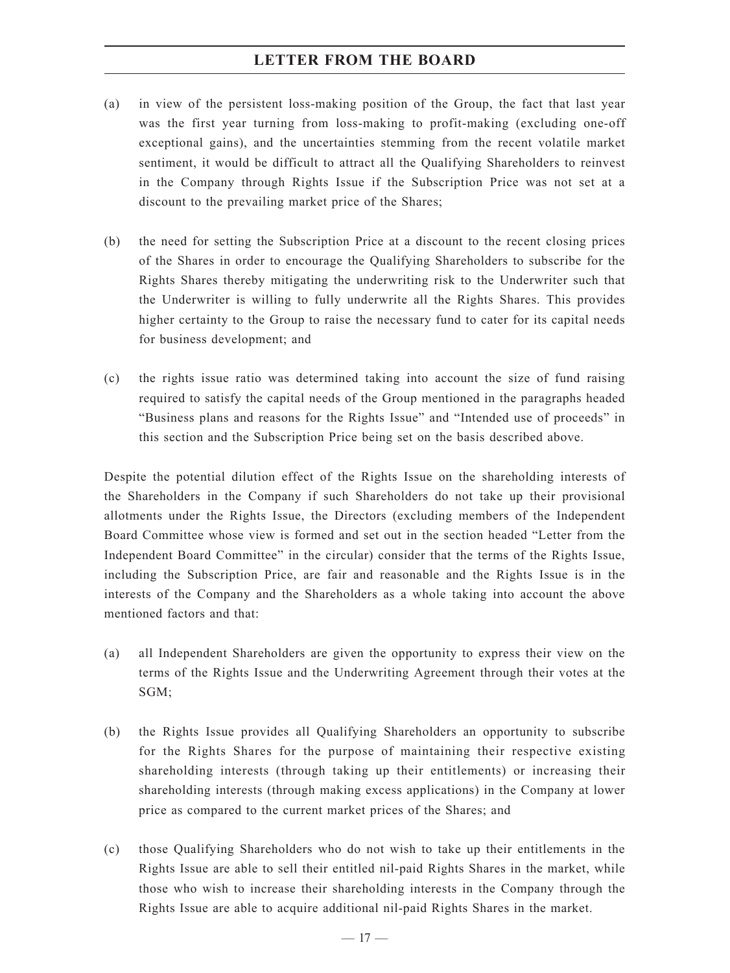- (a) in view of the persistent loss-making position of the Group, the fact that last year was the first year turning from loss-making to profit-making (excluding one-off exceptional gains), and the uncertainties stemming from the recent volatile market sentiment, it would be difficult to attract all the Qualifying Shareholders to reinvest in the Company through Rights Issue if the Subscription Price was not set at a discount to the prevailing market price of the Shares;
- (b) the need for setting the Subscription Price at a discount to the recent closing prices of the Shares in order to encourage the Qualifying Shareholders to subscribe for the Rights Shares thereby mitigating the underwriting risk to the Underwriter such that the Underwriter is willing to fully underwrite all the Rights Shares. This provides higher certainty to the Group to raise the necessary fund to cater for its capital needs for business development; and
- (c) the rights issue ratio was determined taking into account the size of fund raising required to satisfy the capital needs of the Group mentioned in the paragraphs headed "Business plans and reasons for the Rights Issue" and "Intended use of proceeds" in this section and the Subscription Price being set on the basis described above.

Despite the potential dilution effect of the Rights Issue on the shareholding interests of the Shareholders in the Company if such Shareholders do not take up their provisional allotments under the Rights Issue, the Directors (excluding members of the Independent Board Committee whose view is formed and set out in the section headed "Letter from the Independent Board Committee" in the circular) consider that the terms of the Rights Issue, including the Subscription Price, are fair and reasonable and the Rights Issue is in the interests of the Company and the Shareholders as a whole taking into account the above mentioned factors and that:

- (a) all Independent Shareholders are given the opportunity to express their view on the terms of the Rights Issue and the Underwriting Agreement through their votes at the SGM;
- (b) the Rights Issue provides all Qualifying Shareholders an opportunity to subscribe for the Rights Shares for the purpose of maintaining their respective existing shareholding interests (through taking up their entitlements) or increasing their shareholding interests (through making excess applications) in the Company at lower price as compared to the current market prices of the Shares; and
- (c) those Qualifying Shareholders who do not wish to take up their entitlements in the Rights Issue are able to sell their entitled nil-paid Rights Shares in the market, while those who wish to increase their shareholding interests in the Company through the Rights Issue are able to acquire additional nil-paid Rights Shares in the market.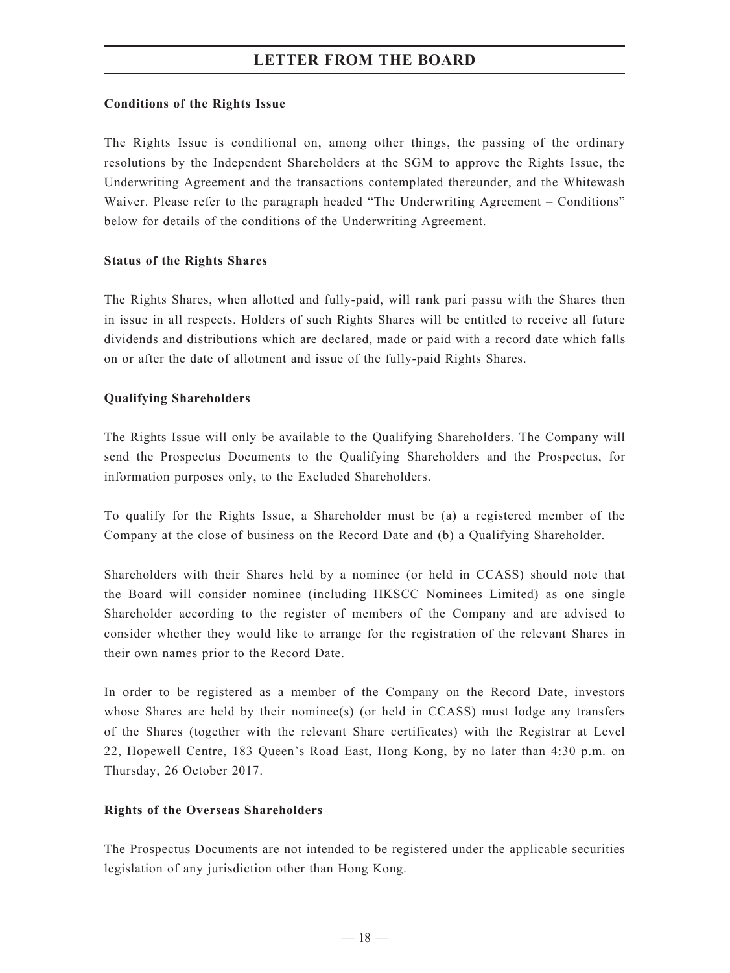## **Conditions of the Rights Issue**

The Rights Issue is conditional on, among other things, the passing of the ordinary resolutions by the Independent Shareholders at the SGM to approve the Rights Issue, the Underwriting Agreement and the transactions contemplated thereunder, and the Whitewash Waiver. Please refer to the paragraph headed "The Underwriting Agreement – Conditions" below for details of the conditions of the Underwriting Agreement.

#### **Status of the Rights Shares**

The Rights Shares, when allotted and fully-paid, will rank pari passu with the Shares then in issue in all respects. Holders of such Rights Shares will be entitled to receive all future dividends and distributions which are declared, made or paid with a record date which falls on or after the date of allotment and issue of the fully-paid Rights Shares.

## **Qualifying Shareholders**

The Rights Issue will only be available to the Qualifying Shareholders. The Company will send the Prospectus Documents to the Qualifying Shareholders and the Prospectus, for information purposes only, to the Excluded Shareholders.

To qualify for the Rights Issue, a Shareholder must be (a) a registered member of the Company at the close of business on the Record Date and (b) a Qualifying Shareholder.

Shareholders with their Shares held by a nominee (or held in CCASS) should note that the Board will consider nominee (including HKSCC Nominees Limited) as one single Shareholder according to the register of members of the Company and are advised to consider whether they would like to arrange for the registration of the relevant Shares in their own names prior to the Record Date.

In order to be registered as a member of the Company on the Record Date, investors whose Shares are held by their nominee(s) (or held in CCASS) must lodge any transfers of the Shares (together with the relevant Share certificates) with the Registrar at Level 22, Hopewell Centre, 183 Queen's Road East, Hong Kong, by no later than 4:30 p.m. on Thursday, 26 October 2017.

## **Rights of the Overseas Shareholders**

The Prospectus Documents are not intended to be registered under the applicable securities legislation of any jurisdiction other than Hong Kong.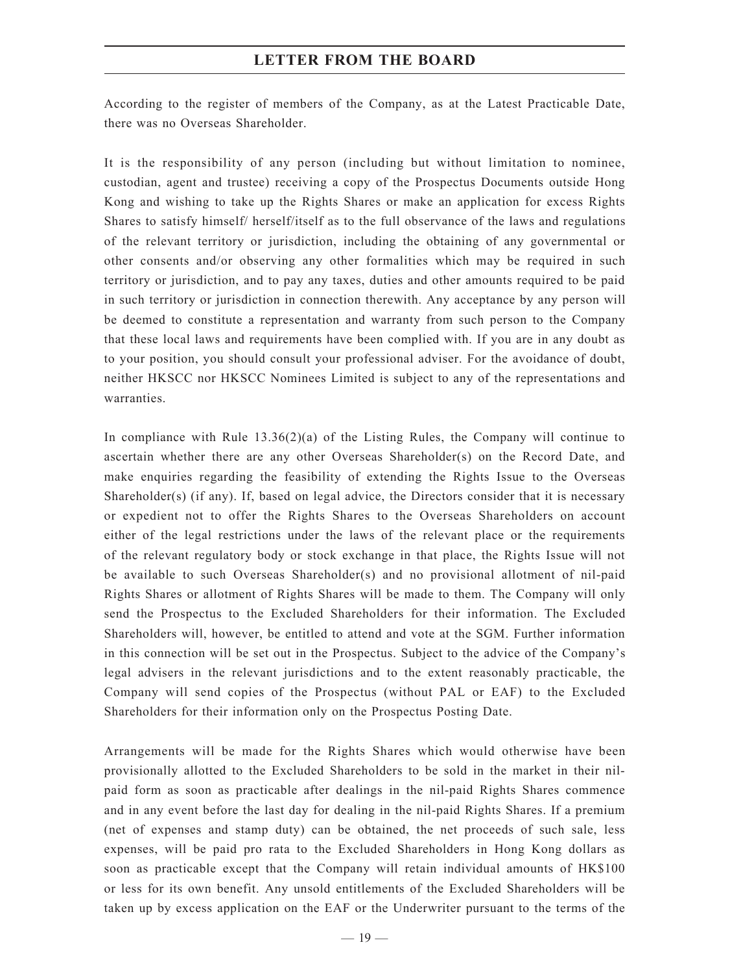According to the register of members of the Company, as at the Latest Practicable Date, there was no Overseas Shareholder.

It is the responsibility of any person (including but without limitation to nominee, custodian, agent and trustee) receiving a copy of the Prospectus Documents outside Hong Kong and wishing to take up the Rights Shares or make an application for excess Rights Shares to satisfy himself/ herself/itself as to the full observance of the laws and regulations of the relevant territory or jurisdiction, including the obtaining of any governmental or other consents and/or observing any other formalities which may be required in such territory or jurisdiction, and to pay any taxes, duties and other amounts required to be paid in such territory or jurisdiction in connection therewith. Any acceptance by any person will be deemed to constitute a representation and warranty from such person to the Company that these local laws and requirements have been complied with. If you are in any doubt as to your position, you should consult your professional adviser. For the avoidance of doubt, neither HKSCC nor HKSCC Nominees Limited is subject to any of the representations and warranties.

In compliance with Rule  $13.36(2)(a)$  of the Listing Rules, the Company will continue to ascertain whether there are any other Overseas Shareholder(s) on the Record Date, and make enquiries regarding the feasibility of extending the Rights Issue to the Overseas Shareholder(s) (if any). If, based on legal advice, the Directors consider that it is necessary or expedient not to offer the Rights Shares to the Overseas Shareholders on account either of the legal restrictions under the laws of the relevant place or the requirements of the relevant regulatory body or stock exchange in that place, the Rights Issue will not be available to such Overseas Shareholder(s) and no provisional allotment of nil-paid Rights Shares or allotment of Rights Shares will be made to them. The Company will only send the Prospectus to the Excluded Shareholders for their information. The Excluded Shareholders will, however, be entitled to attend and vote at the SGM. Further information in this connection will be set out in the Prospectus. Subject to the advice of the Company's legal advisers in the relevant jurisdictions and to the extent reasonably practicable, the Company will send copies of the Prospectus (without PAL or EAF) to the Excluded Shareholders for their information only on the Prospectus Posting Date.

Arrangements will be made for the Rights Shares which would otherwise have been provisionally allotted to the Excluded Shareholders to be sold in the market in their nilpaid form as soon as practicable after dealings in the nil-paid Rights Shares commence and in any event before the last day for dealing in the nil-paid Rights Shares. If a premium (net of expenses and stamp duty) can be obtained, the net proceeds of such sale, less expenses, will be paid pro rata to the Excluded Shareholders in Hong Kong dollars as soon as practicable except that the Company will retain individual amounts of HK\$100 or less for its own benefit. Any unsold entitlements of the Excluded Shareholders will be taken up by excess application on the EAF or the Underwriter pursuant to the terms of the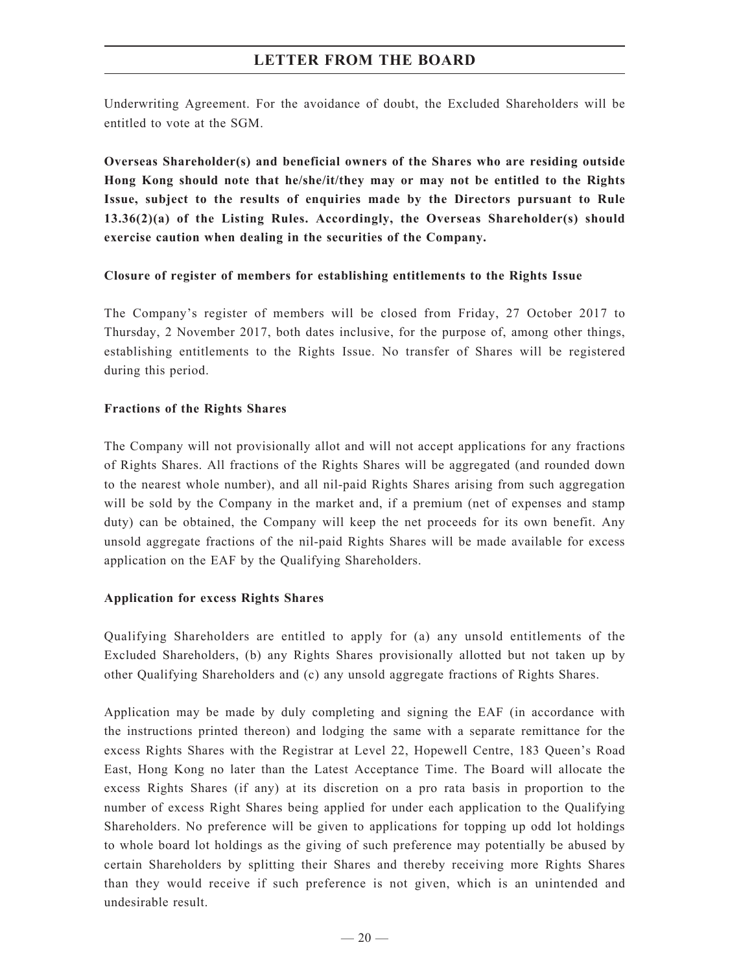Underwriting Agreement. For the avoidance of doubt, the Excluded Shareholders will be entitled to vote at the SGM.

**Overseas Shareholder(s) and beneficial owners of the Shares who are residing outside Hong Kong should note that he/she/it/they may or may not be entitled to the Rights Issue, subject to the results of enquiries made by the Directors pursuant to Rule 13.36(2)(a) of the Listing Rules. Accordingly, the Overseas Shareholder(s) should exercise caution when dealing in the securities of the Company.**

#### **Closure of register of members for establishing entitlements to the Rights Issue**

The Company's register of members will be closed from Friday, 27 October 2017 to Thursday, 2 November 2017, both dates inclusive, for the purpose of, among other things, establishing entitlements to the Rights Issue. No transfer of Shares will be registered during this period.

## **Fractions of the Rights Shares**

The Company will not provisionally allot and will not accept applications for any fractions of Rights Shares. All fractions of the Rights Shares will be aggregated (and rounded down to the nearest whole number), and all nil-paid Rights Shares arising from such aggregation will be sold by the Company in the market and, if a premium (net of expenses and stamp duty) can be obtained, the Company will keep the net proceeds for its own benefit. Any unsold aggregate fractions of the nil-paid Rights Shares will be made available for excess application on the EAF by the Qualifying Shareholders.

## **Application for excess Rights Shares**

Qualifying Shareholders are entitled to apply for (a) any unsold entitlements of the Excluded Shareholders, (b) any Rights Shares provisionally allotted but not taken up by other Qualifying Shareholders and (c) any unsold aggregate fractions of Rights Shares.

Application may be made by duly completing and signing the EAF (in accordance with the instructions printed thereon) and lodging the same with a separate remittance for the excess Rights Shares with the Registrar at Level 22, Hopewell Centre, 183 Queen's Road East, Hong Kong no later than the Latest Acceptance Time. The Board will allocate the excess Rights Shares (if any) at its discretion on a pro rata basis in proportion to the number of excess Right Shares being applied for under each application to the Qualifying Shareholders. No preference will be given to applications for topping up odd lot holdings to whole board lot holdings as the giving of such preference may potentially be abused by certain Shareholders by splitting their Shares and thereby receiving more Rights Shares than they would receive if such preference is not given, which is an unintended and undesirable result.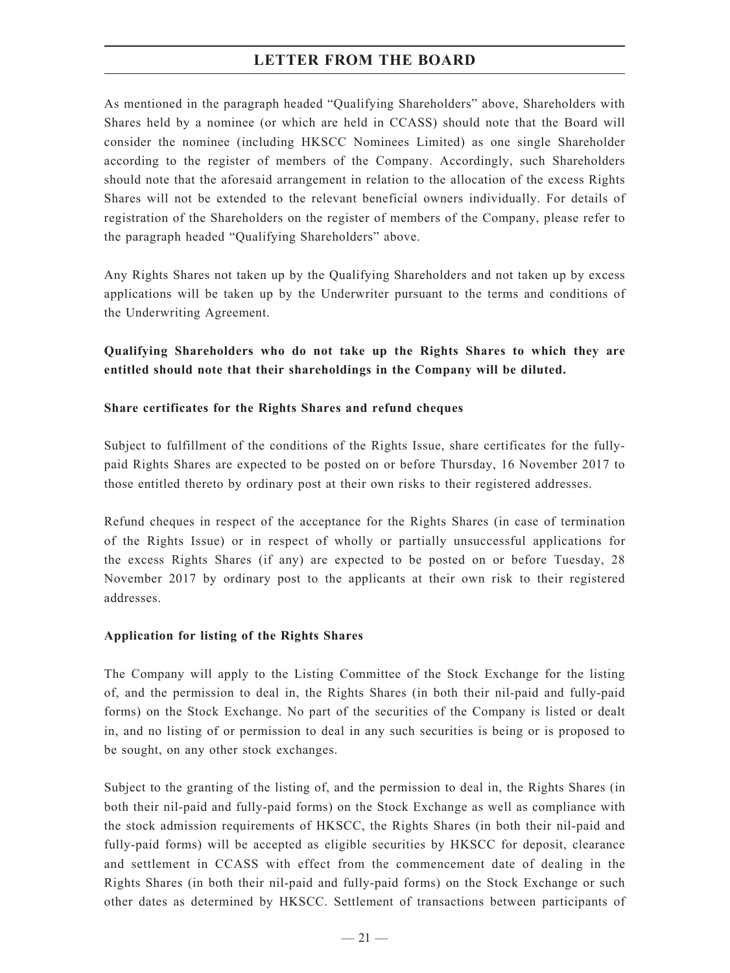As mentioned in the paragraph headed "Qualifying Shareholders" above, Shareholders with Shares held by a nominee (or which are held in CCASS) should note that the Board will consider the nominee (including HKSCC Nominees Limited) as one single Shareholder according to the register of members of the Company. Accordingly, such Shareholders should note that the aforesaid arrangement in relation to the allocation of the excess Rights Shares will not be extended to the relevant beneficial owners individually. For details of registration of the Shareholders on the register of members of the Company, please refer to the paragraph headed "Qualifying Shareholders" above.

Any Rights Shares not taken up by the Qualifying Shareholders and not taken up by excess applications will be taken up by the Underwriter pursuant to the terms and conditions of the Underwriting Agreement.

**Qualifying Shareholders who do not take up the Rights Shares to which they are entitled should note that their shareholdings in the Company will be diluted.**

## **Share certificates for the Rights Shares and refund cheques**

Subject to fulfillment of the conditions of the Rights Issue, share certificates for the fullypaid Rights Shares are expected to be posted on or before Thursday, 16 November 2017 to those entitled thereto by ordinary post at their own risks to their registered addresses.

Refund cheques in respect of the acceptance for the Rights Shares (in case of termination of the Rights Issue) or in respect of wholly or partially unsuccessful applications for the excess Rights Shares (if any) are expected to be posted on or before Tuesday, 28 November 2017 by ordinary post to the applicants at their own risk to their registered addresses.

## **Application for listing of the Rights Shares**

The Company will apply to the Listing Committee of the Stock Exchange for the listing of, and the permission to deal in, the Rights Shares (in both their nil-paid and fully-paid forms) on the Stock Exchange. No part of the securities of the Company is listed or dealt in, and no listing of or permission to deal in any such securities is being or is proposed to be sought, on any other stock exchanges.

Subject to the granting of the listing of, and the permission to deal in, the Rights Shares (in both their nil-paid and fully-paid forms) on the Stock Exchange as well as compliance with the stock admission requirements of HKSCC, the Rights Shares (in both their nil-paid and fully-paid forms) will be accepted as eligible securities by HKSCC for deposit, clearance and settlement in CCASS with effect from the commencement date of dealing in the Rights Shares (in both their nil-paid and fully-paid forms) on the Stock Exchange or such other dates as determined by HKSCC. Settlement of transactions between participants of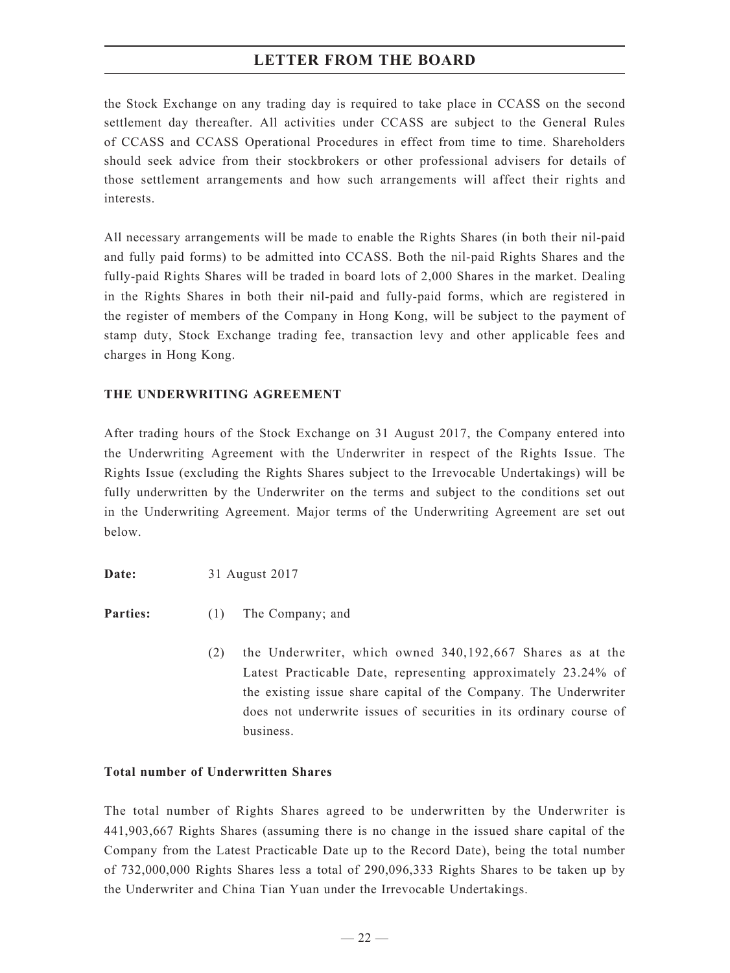the Stock Exchange on any trading day is required to take place in CCASS on the second settlement day thereafter. All activities under CCASS are subject to the General Rules of CCASS and CCASS Operational Procedures in effect from time to time. Shareholders should seek advice from their stockbrokers or other professional advisers for details of those settlement arrangements and how such arrangements will affect their rights and interests.

All necessary arrangements will be made to enable the Rights Shares (in both their nil-paid and fully paid forms) to be admitted into CCASS. Both the nil-paid Rights Shares and the fully-paid Rights Shares will be traded in board lots of 2,000 Shares in the market. Dealing in the Rights Shares in both their nil-paid and fully-paid forms, which are registered in the register of members of the Company in Hong Kong, will be subject to the payment of stamp duty, Stock Exchange trading fee, transaction levy and other applicable fees and charges in Hong Kong.

## **THE UNDERWRITING AGREEMENT**

After trading hours of the Stock Exchange on 31 August 2017, the Company entered into the Underwriting Agreement with the Underwriter in respect of the Rights Issue. The Rights Issue (excluding the Rights Shares subject to the Irrevocable Undertakings) will be fully underwritten by the Underwriter on the terms and subject to the conditions set out in the Underwriting Agreement. Major terms of the Underwriting Agreement are set out below.

**Date:** 31 August 2017

**Parties:** (1) The Company; and

(2) the Underwriter, which owned 340,192,667 Shares as at the Latest Practicable Date, representing approximately 23.24% of the existing issue share capital of the Company. The Underwriter does not underwrite issues of securities in its ordinary course of business.

## **Total number of Underwritten Shares**

The total number of Rights Shares agreed to be underwritten by the Underwriter is 441,903,667 Rights Shares (assuming there is no change in the issued share capital of the Company from the Latest Practicable Date up to the Record Date), being the total number of 732,000,000 Rights Shares less a total of 290,096,333 Rights Shares to be taken up by the Underwriter and China Tian Yuan under the Irrevocable Undertakings.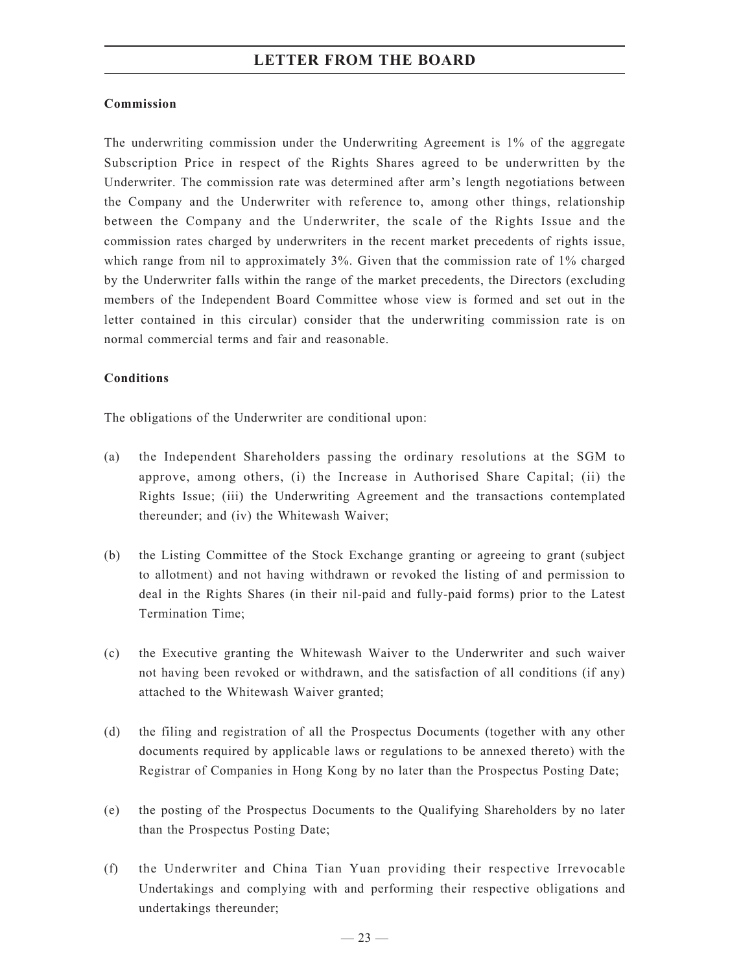## **Commission**

The underwriting commission under the Underwriting Agreement is 1% of the aggregate Subscription Price in respect of the Rights Shares agreed to be underwritten by the Underwriter. The commission rate was determined after arm's length negotiations between the Company and the Underwriter with reference to, among other things, relationship between the Company and the Underwriter, the scale of the Rights Issue and the commission rates charged by underwriters in the recent market precedents of rights issue, which range from nil to approximately 3%. Given that the commission rate of 1% charged by the Underwriter falls within the range of the market precedents, the Directors (excluding members of the Independent Board Committee whose view is formed and set out in the letter contained in this circular) consider that the underwriting commission rate is on normal commercial terms and fair and reasonable.

## **Conditions**

The obligations of the Underwriter are conditional upon:

- (a) the Independent Shareholders passing the ordinary resolutions at the SGM to approve, among others, (i) the Increase in Authorised Share Capital; (ii) the Rights Issue; (iii) the Underwriting Agreement and the transactions contemplated thereunder; and (iv) the Whitewash Waiver;
- (b) the Listing Committee of the Stock Exchange granting or agreeing to grant (subject to allotment) and not having withdrawn or revoked the listing of and permission to deal in the Rights Shares (in their nil-paid and fully-paid forms) prior to the Latest Termination Time;
- (c) the Executive granting the Whitewash Waiver to the Underwriter and such waiver not having been revoked or withdrawn, and the satisfaction of all conditions (if any) attached to the Whitewash Waiver granted;
- (d) the filing and registration of all the Prospectus Documents (together with any other documents required by applicable laws or regulations to be annexed thereto) with the Registrar of Companies in Hong Kong by no later than the Prospectus Posting Date;
- (e) the posting of the Prospectus Documents to the Qualifying Shareholders by no later than the Prospectus Posting Date;
- (f) the Underwriter and China Tian Yuan providing their respective Irrevocable Undertakings and complying with and performing their respective obligations and undertakings thereunder;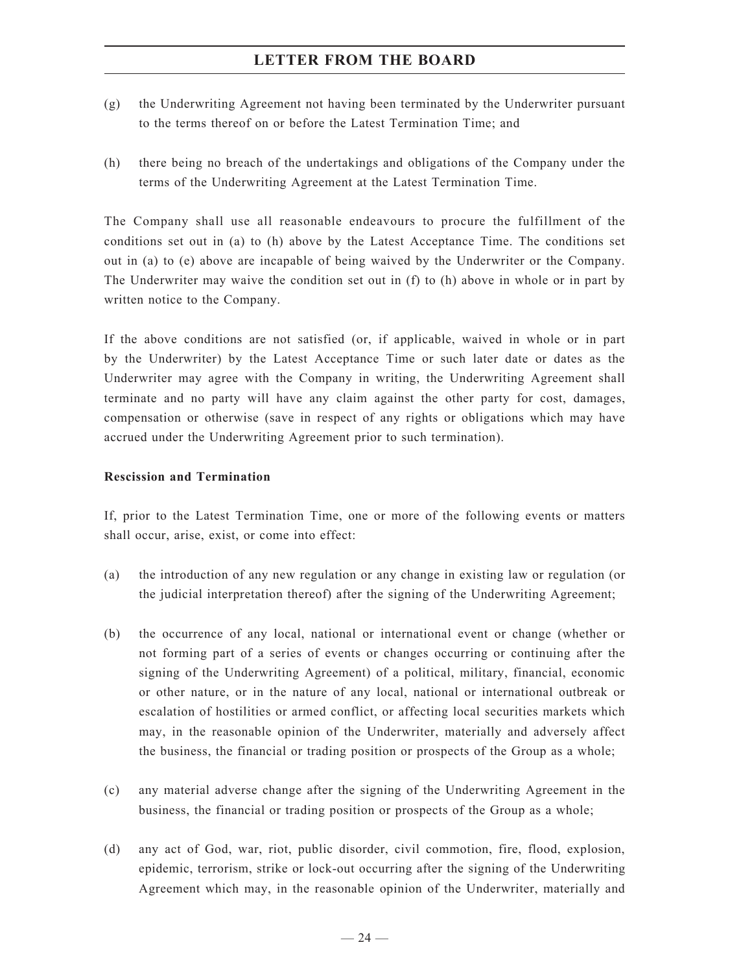- (g) the Underwriting Agreement not having been terminated by the Underwriter pursuant to the terms thereof on or before the Latest Termination Time; and
- (h) there being no breach of the undertakings and obligations of the Company under the terms of the Underwriting Agreement at the Latest Termination Time.

The Company shall use all reasonable endeavours to procure the fulfillment of the conditions set out in (a) to (h) above by the Latest Acceptance Time. The conditions set out in (a) to (e) above are incapable of being waived by the Underwriter or the Company. The Underwriter may waive the condition set out in (f) to (h) above in whole or in part by written notice to the Company.

If the above conditions are not satisfied (or, if applicable, waived in whole or in part by the Underwriter) by the Latest Acceptance Time or such later date or dates as the Underwriter may agree with the Company in writing, the Underwriting Agreement shall terminate and no party will have any claim against the other party for cost, damages, compensation or otherwise (save in respect of any rights or obligations which may have accrued under the Underwriting Agreement prior to such termination).

## **Rescission and Termination**

If, prior to the Latest Termination Time, one or more of the following events or matters shall occur, arise, exist, or come into effect:

- (a) the introduction of any new regulation or any change in existing law or regulation (or the judicial interpretation thereof) after the signing of the Underwriting Agreement;
- (b) the occurrence of any local, national or international event or change (whether or not forming part of a series of events or changes occurring or continuing after the signing of the Underwriting Agreement) of a political, military, financial, economic or other nature, or in the nature of any local, national or international outbreak or escalation of hostilities or armed conflict, or affecting local securities markets which may, in the reasonable opinion of the Underwriter, materially and adversely affect the business, the financial or trading position or prospects of the Group as a whole;
- (c) any material adverse change after the signing of the Underwriting Agreement in the business, the financial or trading position or prospects of the Group as a whole;
- (d) any act of God, war, riot, public disorder, civil commotion, fire, flood, explosion, epidemic, terrorism, strike or lock-out occurring after the signing of the Underwriting Agreement which may, in the reasonable opinion of the Underwriter, materially and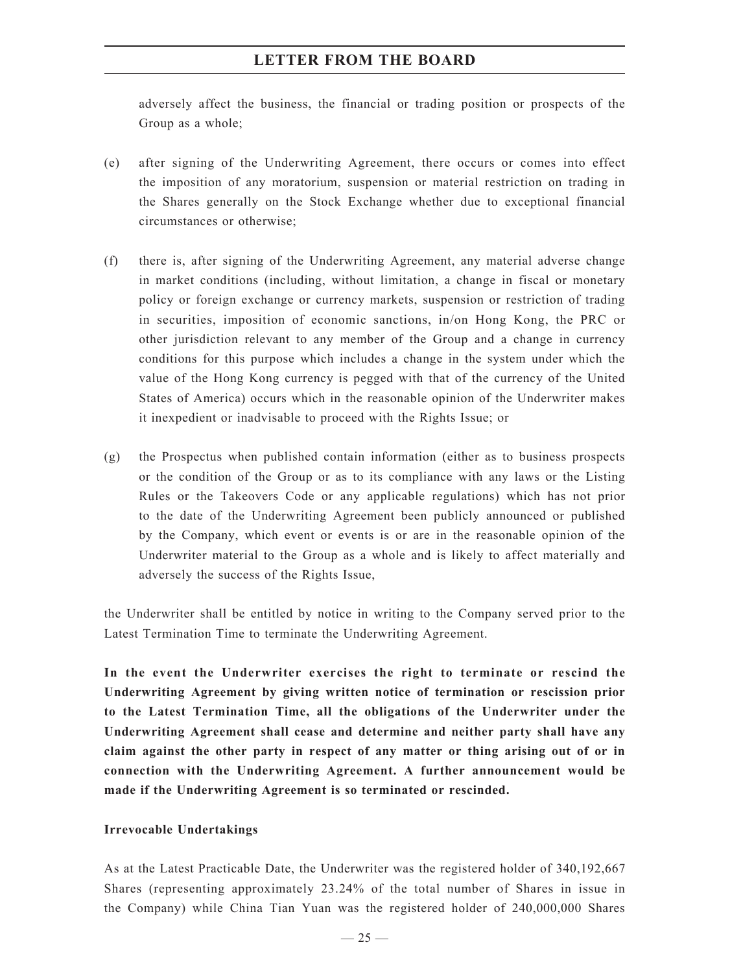adversely affect the business, the financial or trading position or prospects of the Group as a whole;

- (e) after signing of the Underwriting Agreement, there occurs or comes into effect the imposition of any moratorium, suspension or material restriction on trading in the Shares generally on the Stock Exchange whether due to exceptional financial circumstances or otherwise;
- (f) there is, after signing of the Underwriting Agreement, any material adverse change in market conditions (including, without limitation, a change in fiscal or monetary policy or foreign exchange or currency markets, suspension or restriction of trading in securities, imposition of economic sanctions, in/on Hong Kong, the PRC or other jurisdiction relevant to any member of the Group and a change in currency conditions for this purpose which includes a change in the system under which the value of the Hong Kong currency is pegged with that of the currency of the United States of America) occurs which in the reasonable opinion of the Underwriter makes it inexpedient or inadvisable to proceed with the Rights Issue; or
- (g) the Prospectus when published contain information (either as to business prospects or the condition of the Group or as to its compliance with any laws or the Listing Rules or the Takeovers Code or any applicable regulations) which has not prior to the date of the Underwriting Agreement been publicly announced or published by the Company, which event or events is or are in the reasonable opinion of the Underwriter material to the Group as a whole and is likely to affect materially and adversely the success of the Rights Issue,

the Underwriter shall be entitled by notice in writing to the Company served prior to the Latest Termination Time to terminate the Underwriting Agreement.

**In the event the Underwriter exercises the right to terminate or rescind the Underwriting Agreement by giving written notice of termination or rescission prior to the Latest Termination Time, all the obligations of the Underwriter under the Underwriting Agreement shall cease and determine and neither party shall have any claim against the other party in respect of any matter or thing arising out of or in connection with the Underwriting Agreement. A further announcement would be made if the Underwriting Agreement is so terminated or rescinded.**

## **Irrevocable Undertakings**

As at the Latest Practicable Date, the Underwriter was the registered holder of 340,192,667 Shares (representing approximately 23.24% of the total number of Shares in issue in the Company) while China Tian Yuan was the registered holder of 240,000,000 Shares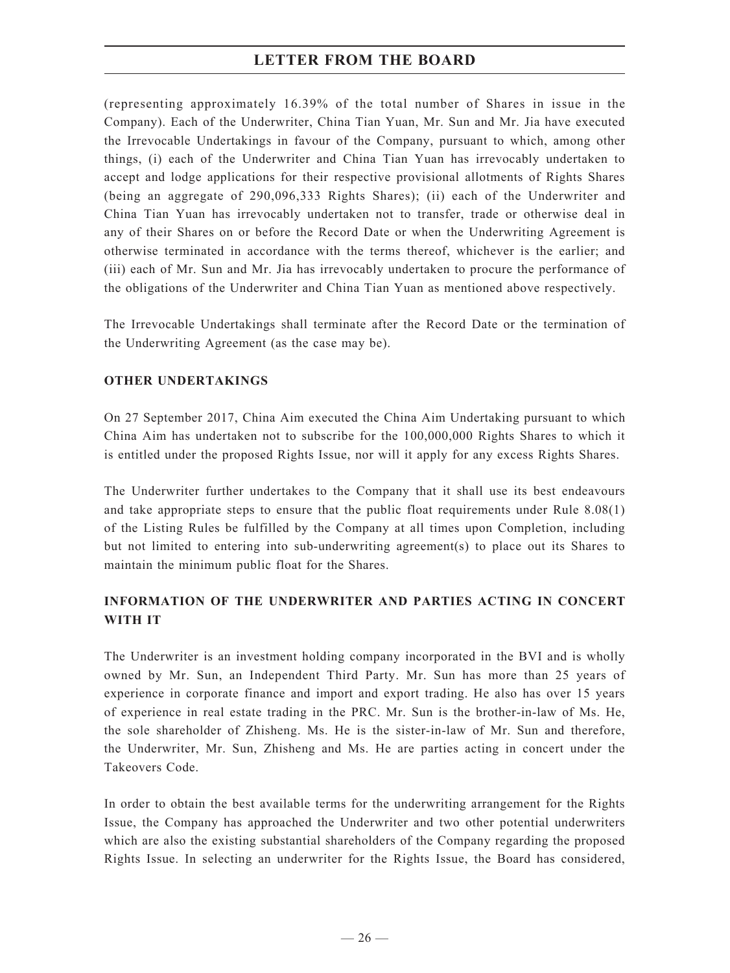(representing approximately 16.39% of the total number of Shares in issue in the Company). Each of the Underwriter, China Tian Yuan, Mr. Sun and Mr. Jia have executed the Irrevocable Undertakings in favour of the Company, pursuant to which, among other things, (i) each of the Underwriter and China Tian Yuan has irrevocably undertaken to accept and lodge applications for their respective provisional allotments of Rights Shares (being an aggregate of 290,096,333 Rights Shares); (ii) each of the Underwriter and China Tian Yuan has irrevocably undertaken not to transfer, trade or otherwise deal in any of their Shares on or before the Record Date or when the Underwriting Agreement is otherwise terminated in accordance with the terms thereof, whichever is the earlier; and (iii) each of Mr. Sun and Mr. Jia has irrevocably undertaken to procure the performance of the obligations of the Underwriter and China Tian Yuan as mentioned above respectively.

The Irrevocable Undertakings shall terminate after the Record Date or the termination of the Underwriting Agreement (as the case may be).

## **OTHER UNDERTAKINGs**

On 27 September 2017, China Aim executed the China Aim Undertaking pursuant to which China Aim has undertaken not to subscribe for the 100,000,000 Rights Shares to which it is entitled under the proposed Rights Issue, nor will it apply for any excess Rights Shares.

The Underwriter further undertakes to the Company that it shall use its best endeavours and take appropriate steps to ensure that the public float requirements under Rule 8.08(1) of the Listing Rules be fulfilled by the Company at all times upon Completion, including but not limited to entering into sub-underwriting agreement(s) to place out its Shares to maintain the minimum public float for the Shares.

## **INFORMATION OF THE UNDERWRITER AND PARTIES ACTING IN CONCERT WITH IT**

The Underwriter is an investment holding company incorporated in the BVI and is wholly owned by Mr. Sun, an Independent Third Party. Mr. Sun has more than 25 years of experience in corporate finance and import and export trading. He also has over 15 years of experience in real estate trading in the PRC. Mr. Sun is the brother-in-law of Ms. He, the sole shareholder of Zhisheng. Ms. He is the sister-in-law of Mr. Sun and therefore, the Underwriter, Mr. Sun, Zhisheng and Ms. He are parties acting in concert under the Takeovers Code.

In order to obtain the best available terms for the underwriting arrangement for the Rights Issue, the Company has approached the Underwriter and two other potential underwriters which are also the existing substantial shareholders of the Company regarding the proposed Rights Issue. In selecting an underwriter for the Rights Issue, the Board has considered,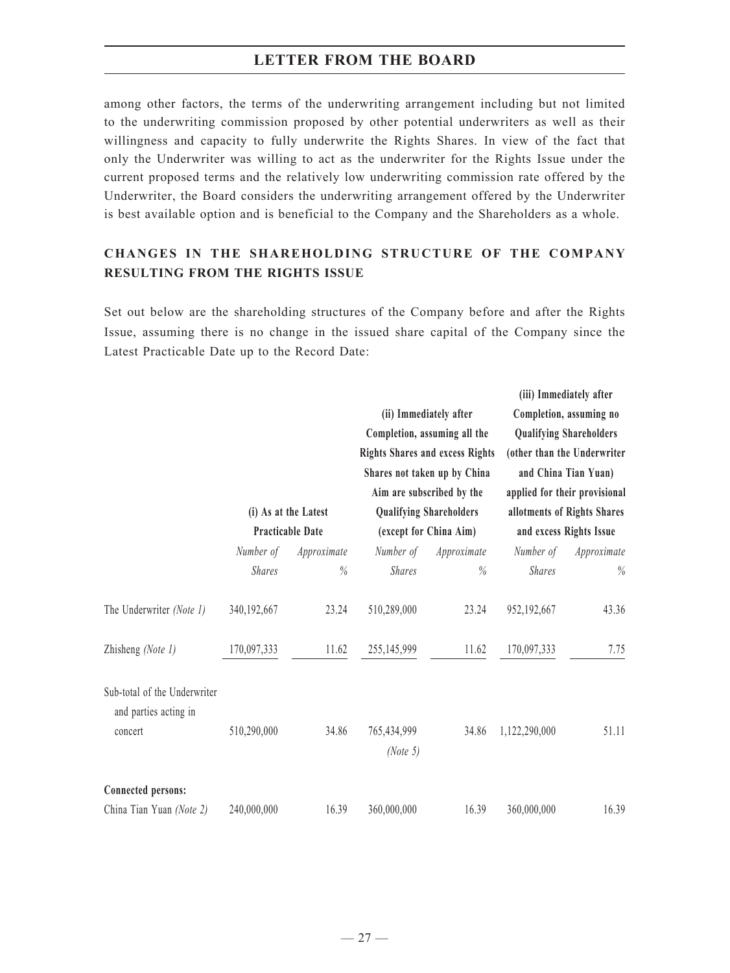among other factors, the terms of the underwriting arrangement including but not limited to the underwriting commission proposed by other potential underwriters as well as their willingness and capacity to fully underwrite the Rights Shares. In view of the fact that only the Underwriter was willing to act as the underwriter for the Rights Issue under the current proposed terms and the relatively low underwriting commission rate offered by the Underwriter, the Board considers the underwriting arrangement offered by the Underwriter is best available option and is beneficial to the Company and the Shareholders as a whole.

## **CHANGES IN THE SHAREHOLDING STRUCTURE OF THE COMPANY RESULTING FROM THE RIGHTS ISSUE**

Set out below are the shareholding structures of the Company before and after the Rights Issue, assuming there is no change in the issued share capital of the Company since the Latest Practicable Date up to the Record Date:

|                                                                  |                                                 |             |                                                          | (ii) Immediately after<br>Completion, assuming all the<br><b>Rights Shares and excess Rights</b><br>Shares not taken up by China<br>Aim are subscribed by the |                                                        | (iii) Immediately after<br>Completion, assuming no<br><b>Qualifying Shareholders</b><br>(other than the Underwriter<br>and China Tian Yuan)<br>applied for their provisional |  |
|------------------------------------------------------------------|-------------------------------------------------|-------------|----------------------------------------------------------|---------------------------------------------------------------------------------------------------------------------------------------------------------------|--------------------------------------------------------|------------------------------------------------------------------------------------------------------------------------------------------------------------------------------|--|
|                                                                  | (i) As at the Latest<br><b>Practicable Date</b> |             | <b>Qualifying Shareholders</b><br>(except for China Aim) |                                                                                                                                                               | allotments of Rights Shares<br>and excess Rights Issue |                                                                                                                                                                              |  |
|                                                                  | Number of                                       | Approximate | Number of                                                | Approximate                                                                                                                                                   | Number of                                              | Approximate                                                                                                                                                                  |  |
|                                                                  | <b>Shares</b>                                   | $\%$        | <b>Shares</b>                                            | %                                                                                                                                                             | <b>Shares</b>                                          | $\%$                                                                                                                                                                         |  |
| The Underwriter (Note 1)                                         | 340, 192, 667                                   | 23.24       | 510,289,000                                              | 23.24                                                                                                                                                         | 952,192,667                                            | 43.36                                                                                                                                                                        |  |
| Zhisheng (Note 1)                                                | 170,097,333                                     | 11.62       | 255,145,999                                              | 11.62                                                                                                                                                         | 170,097,333                                            | 7.75                                                                                                                                                                         |  |
| Sub-total of the Underwriter<br>and parties acting in<br>concert | 510,290,000                                     | 34.86       | 765,434,999<br>(Note 5)                                  | 34.86                                                                                                                                                         | 1,122,290,000                                          | 51.11                                                                                                                                                                        |  |
| <b>Connected persons:</b>                                        |                                                 |             |                                                          |                                                                                                                                                               |                                                        |                                                                                                                                                                              |  |
| China Tian Yuan (Note 2)                                         | 240,000,000                                     | 16.39       | 360,000,000                                              | 16.39                                                                                                                                                         | 360,000,000                                            | 16.39                                                                                                                                                                        |  |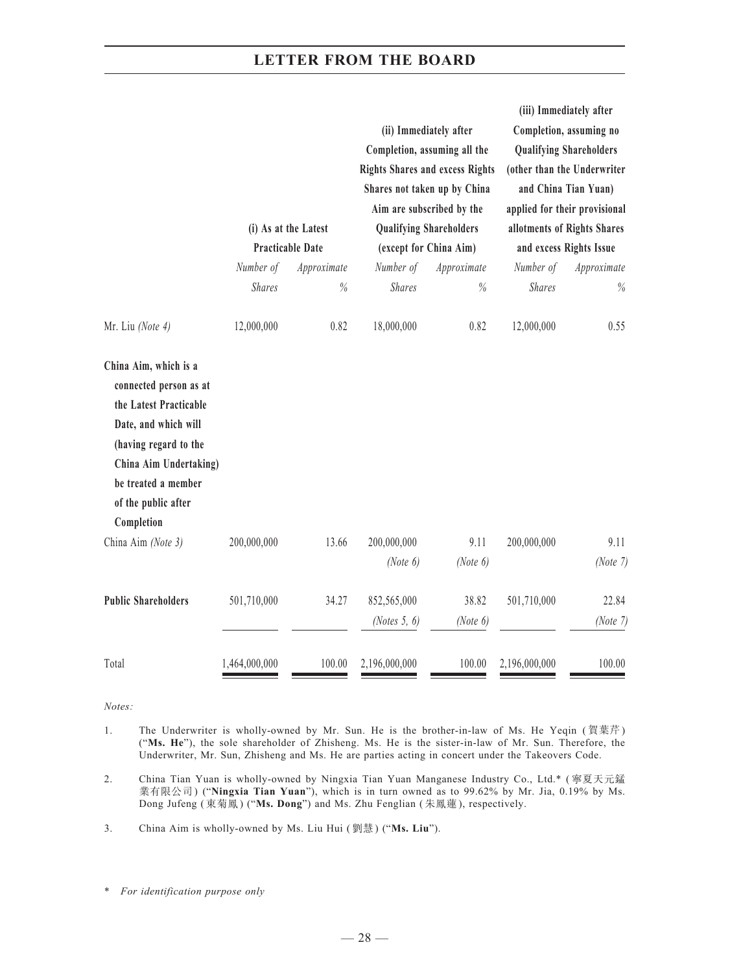|                                                                                                                                                                                                                  | (i) As at the Latest<br><b>Practicable Date</b> |             | (ii) Immediately after<br>Completion, assuming all the<br><b>Rights Shares and excess Rights</b><br>Shares not taken up by China<br>Aim are subscribed by the<br><b>Qualifying Shareholders</b><br>(except for China Aim) |                     | (iii) Immediately after<br>Completion, assuming no<br><b>Qualifying Shareholders</b><br>(other than the Underwriter<br>and China Tian Yuan)<br>applied for their provisional<br>allotments of Rights Shares<br>and excess Rights Issue |                   |
|------------------------------------------------------------------------------------------------------------------------------------------------------------------------------------------------------------------|-------------------------------------------------|-------------|---------------------------------------------------------------------------------------------------------------------------------------------------------------------------------------------------------------------------|---------------------|----------------------------------------------------------------------------------------------------------------------------------------------------------------------------------------------------------------------------------------|-------------------|
|                                                                                                                                                                                                                  | Number of                                       | Approximate | Number of                                                                                                                                                                                                                 | Approximate         | Number of                                                                                                                                                                                                                              | Approximate       |
|                                                                                                                                                                                                                  | <b>Shares</b>                                   | %           | <b>Shares</b>                                                                                                                                                                                                             | $\%$                | <b>Shares</b>                                                                                                                                                                                                                          | $\%$              |
| Mr. Liu (Note 4)                                                                                                                                                                                                 | 12,000,000                                      | 0.82        | 18,000,000                                                                                                                                                                                                                | 0.82                | 12,000,000                                                                                                                                                                                                                             | 0.55              |
| China Aim, which is a<br>connected person as at<br>the Latest Practicable<br>Date, and which will<br>(having regard to the<br>China Aim Undertaking)<br>be treated a member<br>of the public after<br>Completion |                                                 |             |                                                                                                                                                                                                                           |                     |                                                                                                                                                                                                                                        |                   |
| China Aim (Note 3)                                                                                                                                                                                               | 200,000,000                                     | 13.66       | 200,000,000<br>(Note $6$ )                                                                                                                                                                                                | 9.11<br>(Note $6$ ) | 200,000,000                                                                                                                                                                                                                            | 9.11<br>(Note 7)  |
| <b>Public Shareholders</b>                                                                                                                                                                                       | 501,710,000                                     | 34.27       | 852,565,000<br>(Notes $5, 6$ )                                                                                                                                                                                            | 38.82<br>(Note 6)   | 501,710,000                                                                                                                                                                                                                            | 22.84<br>(Note 7) |
| Total                                                                                                                                                                                                            | 1,464,000,000                                   | 100.00      | 2,196,000,000                                                                                                                                                                                                             | 100.00              | 2,196,000,000                                                                                                                                                                                                                          | 100.00            |

*Notes:*

- 1. The Underwriter is wholly-owned by Mr. Sun. He is the brother-in-law of Ms. He Yeqin (賀葉芹) ("**Ms. He**"), the sole shareholder of Zhisheng. Ms. He is the sister-in-law of Mr. Sun. Therefore, the Underwriter, Mr. Sun, Zhisheng and Ms. He are parties acting in concert under the Takeovers Code.
- 2. China Tian Yuan is wholly-owned by Ningxia Tian Yuan Manganese Industry Co., Ltd.\* ( 寧夏天元錳 業有限公司) ("**Ningxia Tian Yuan**"), which is in turn owned as to 99.62% by Mr. Jia, 0.19% by Ms. Dong Jufeng ( 東菊鳳) ("**Ms. Dong**") and Ms. Zhu Fenglian ( 朱鳳蓮), respectively.
- 3. China Aim is wholly-owned by Ms. Liu Hui ( 劉慧) ("**Ms. Liu**").

<sup>\*</sup> *For identification purpose only*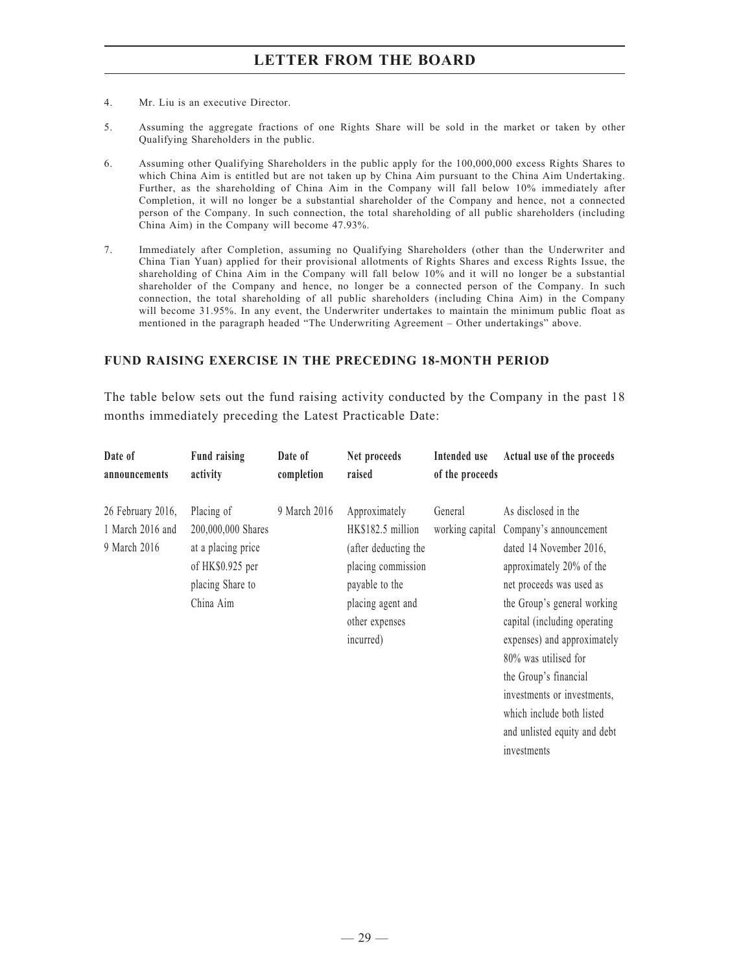- 4. Mr. Liu is an executive Director.
- 5. Assuming the aggregate fractions of one Rights Share will be sold in the market or taken by other Qualifying Shareholders in the public.
- 6. Assuming other Qualifying Shareholders in the public apply for the 100,000,000 excess Rights Shares to which China Aim is entitled but are not taken up by China Aim pursuant to the China Aim Undertaking. Further, as the shareholding of China Aim in the Company will fall below 10% immediately after Completion, it will no longer be a substantial shareholder of the Company and hence, not a connected person of the Company. In such connection, the total shareholding of all public shareholders (including China Aim) in the Company will become 47.93%.
- 7. Immediately after Completion, assuming no Qualifying Shareholders (other than the Underwriter and China Tian Yuan) applied for their provisional allotments of Rights Shares and excess Rights Issue, the shareholding of China Aim in the Company will fall below 10% and it will no longer be a substantial shareholder of the Company and hence, no longer be a connected person of the Company. In such connection, the total shareholding of all public shareholders (including China Aim) in the Company will become 31.95%. In any event, the Underwriter undertakes to maintain the minimum public float as mentioned in the paragraph headed "The Underwriting Agreement – Other undertakings" above.

#### **FUND RAISING EXERCISE IN THE PRECEDING 18-MONTH PERIOD**

The table below sets out the fund raising activity conducted by the Company in the past 18 months immediately preceding the Latest Practicable Date:

| Date of<br>announcements                              | <b>Fund raising</b><br>activity                                                                             | Date of<br>completion | Net proceeds<br>raised                                                                                                                                 | Intended use<br>of the proceeds | Actual use of the proceeds                                                                                                                                                                                                                                                                                                                                                                 |
|-------------------------------------------------------|-------------------------------------------------------------------------------------------------------------|-----------------------|--------------------------------------------------------------------------------------------------------------------------------------------------------|---------------------------------|--------------------------------------------------------------------------------------------------------------------------------------------------------------------------------------------------------------------------------------------------------------------------------------------------------------------------------------------------------------------------------------------|
| 26 February 2016,<br>1 March 2016 and<br>9 March 2016 | Placing of<br>200,000,000 Shares<br>at a placing price<br>of HK\$0.925 per<br>placing Share to<br>China Aim | 9 March 2016          | Approximately<br>HK\$182.5 million<br>(after deducting the<br>placing commission<br>payable to the<br>placing agent and<br>other expenses<br>incurred) | General<br>working capital      | As disclosed in the<br>Company's announcement<br>dated 14 November 2016,<br>approximately 20% of the<br>net proceeds was used as<br>the Group's general working<br>capital (including operating<br>expenses) and approximately<br>80% was utilised for<br>the Group's financial<br>investments or investments,<br>which include both listed<br>and unlisted equity and debt<br>investments |
|                                                       |                                                                                                             |                       |                                                                                                                                                        |                                 |                                                                                                                                                                                                                                                                                                                                                                                            |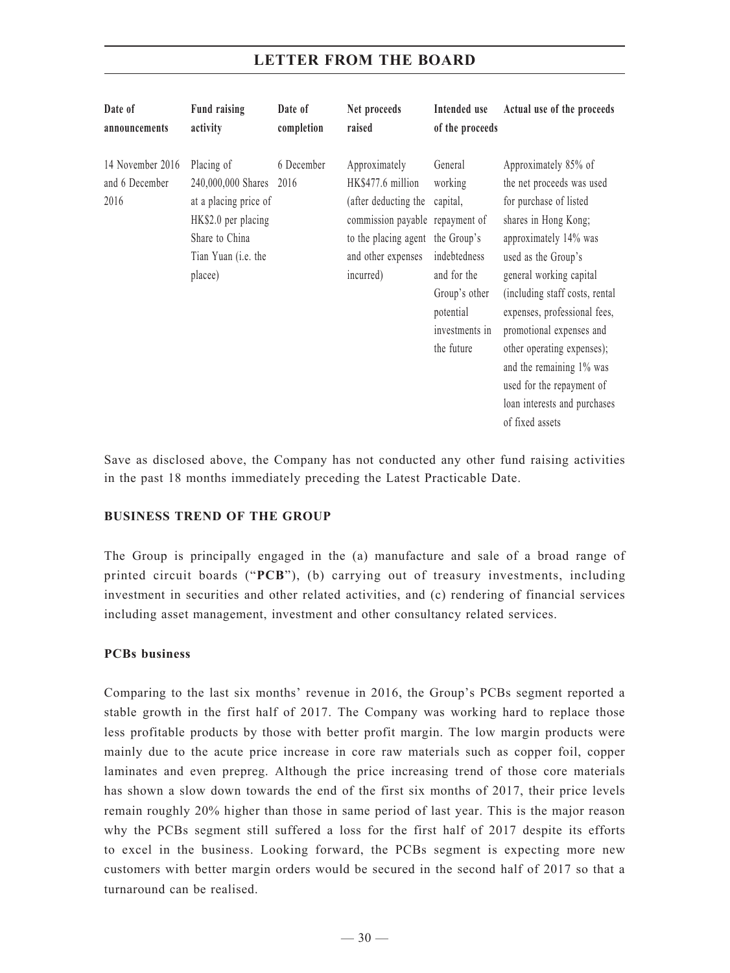#### **Date of announcements Fund raising activity Date of completion Net proceeds raised Intended use of the proceeds Actual use of the proceeds** 14 November 2016 Placing of and 6 December 2016 240,000,000 Shares 2016 at a placing price of HK\$2.0 per placing Share to China Tian Yuan (i.e. the placee) 6 December Approximately HK\$477.6 million (after deducting the capital, commission payable repayment of to the placing agent the Group's and other expenses indebtedness incurred) General working and for the Group's other potential investments in the future Approximately 85% of the net proceeds was used for purchase of listed shares in Hong Kong; approximately 14% was used as the Group's general working capital (including staff costs, rental expenses, professional fees, promotional expenses and other operating expenses); and the remaining 1% was used for the repayment of loan interests and purchases of fixed assets

# **LETTER FROM THE BOARD**

Save as disclosed above, the Company has not conducted any other fund raising activities in the past 18 months immediately preceding the Latest Practicable Date.

## **BUSINESS TREND OF THE GROUP**

The Group is principally engaged in the (a) manufacture and sale of a broad range of printed circuit boards ("**PCB**"), (b) carrying out of treasury investments, including investment in securities and other related activities, and (c) rendering of financial services including asset management, investment and other consultancy related services.

## **PCBs business**

Comparing to the last six months' revenue in 2016, the Group's PCBs segment reported a stable growth in the first half of 2017. The Company was working hard to replace those less profitable products by those with better profit margin. The low margin products were mainly due to the acute price increase in core raw materials such as copper foil, copper laminates and even prepreg. Although the price increasing trend of those core materials has shown a slow down towards the end of the first six months of 2017, their price levels remain roughly 20% higher than those in same period of last year. This is the major reason why the PCBs segment still suffered a loss for the first half of 2017 despite its efforts to excel in the business. Looking forward, the PCBs segment is expecting more new customers with better margin orders would be secured in the second half of 2017 so that a turnaround can be realised.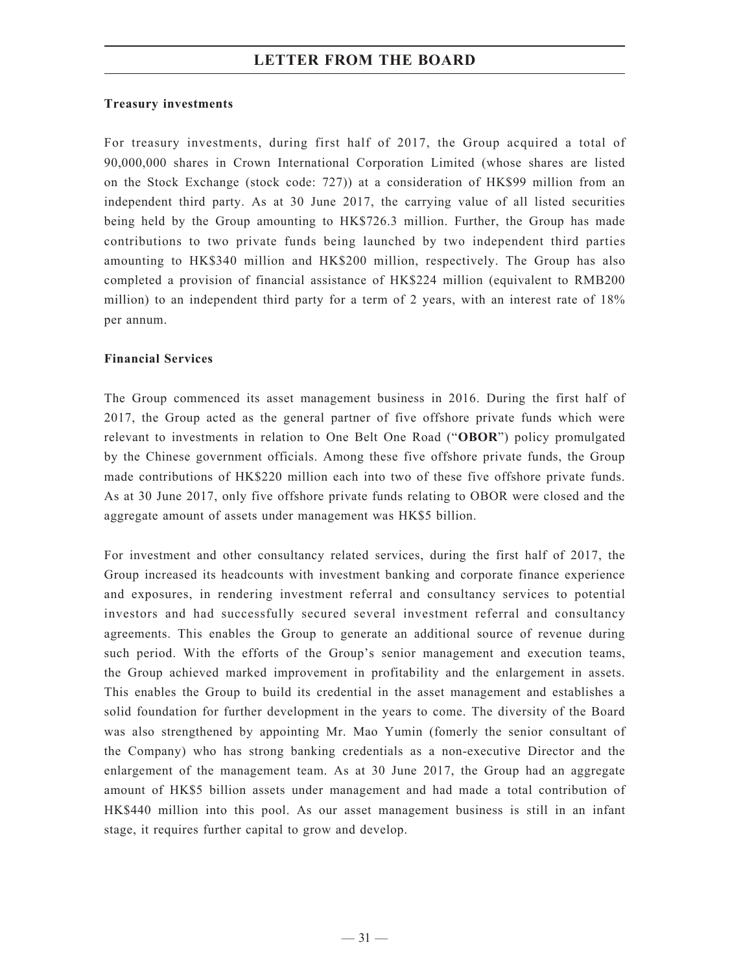#### **Treasury investments**

For treasury investments, during first half of 2017, the Group acquired a total of 90,000,000 shares in Crown International Corporation Limited (whose shares are listed on the Stock Exchange (stock code: 727)) at a consideration of HK\$99 million from an independent third party. As at 30 June 2017, the carrying value of all listed securities being held by the Group amounting to HK\$726.3 million. Further, the Group has made contributions to two private funds being launched by two independent third parties amounting to HK\$340 million and HK\$200 million, respectively. The Group has also completed a provision of financial assistance of HK\$224 million (equivalent to RMB200 million) to an independent third party for a term of 2 years, with an interest rate of 18% per annum.

## **Financial Services**

The Group commenced its asset management business in 2016. During the first half of 2017, the Group acted as the general partner of five offshore private funds which were relevant to investments in relation to One Belt One Road ("**OBOR**") policy promulgated by the Chinese government officials. Among these five offshore private funds, the Group made contributions of HK\$220 million each into two of these five offshore private funds. As at 30 June 2017, only five offshore private funds relating to OBOR were closed and the aggregate amount of assets under management was HK\$5 billion.

For investment and other consultancy related services, during the first half of 2017, the Group increased its headcounts with investment banking and corporate finance experience and exposures, in rendering investment referral and consultancy services to potential investors and had successfully secured several investment referral and consultancy agreements. This enables the Group to generate an additional source of revenue during such period. With the efforts of the Group's senior management and execution teams, the Group achieved marked improvement in profitability and the enlargement in assets. This enables the Group to build its credential in the asset management and establishes a solid foundation for further development in the years to come. The diversity of the Board was also strengthened by appointing Mr. Mao Yumin (fomerly the senior consultant of the Company) who has strong banking credentials as a non-executive Director and the enlargement of the management team. As at 30 June 2017, the Group had an aggregate amount of HK\$5 billion assets under management and had made a total contribution of HK\$440 million into this pool. As our asset management business is still in an infant stage, it requires further capital to grow and develop.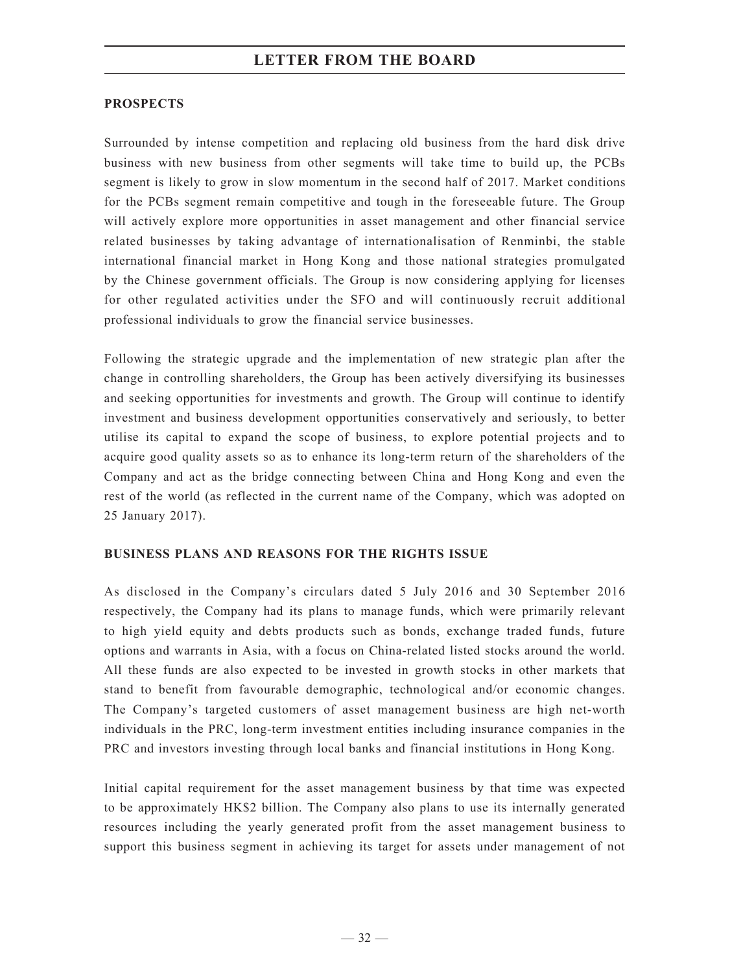## **PROSPECTS**

Surrounded by intense competition and replacing old business from the hard disk drive business with new business from other segments will take time to build up, the PCBs segment is likely to grow in slow momentum in the second half of 2017. Market conditions for the PCBs segment remain competitive and tough in the foreseeable future. The Group will actively explore more opportunities in asset management and other financial service related businesses by taking advantage of internationalisation of Renminbi, the stable international financial market in Hong Kong and those national strategies promulgated by the Chinese government officials. The Group is now considering applying for licenses for other regulated activities under the SFO and will continuously recruit additional professional individuals to grow the financial service businesses.

Following the strategic upgrade and the implementation of new strategic plan after the change in controlling shareholders, the Group has been actively diversifying its businesses and seeking opportunities for investments and growth. The Group will continue to identify investment and business development opportunities conservatively and seriously, to better utilise its capital to expand the scope of business, to explore potential projects and to acquire good quality assets so as to enhance its long-term return of the shareholders of the Company and act as the bridge connecting between China and Hong Kong and even the rest of the world (as reflected in the current name of the Company, which was adopted on 25 January 2017).

## **Business plans and REASONS FOR THE RIGHTS ISSUE**

As disclosed in the Company's circulars dated 5 July 2016 and 30 September 2016 respectively, the Company had its plans to manage funds, which were primarily relevant to high yield equity and debts products such as bonds, exchange traded funds, future options and warrants in Asia, with a focus on China-related listed stocks around the world. All these funds are also expected to be invested in growth stocks in other markets that stand to benefit from favourable demographic, technological and/or economic changes. The Company's targeted customers of asset management business are high net-worth individuals in the PRC, long-term investment entities including insurance companies in the PRC and investors investing through local banks and financial institutions in Hong Kong.

Initial capital requirement for the asset management business by that time was expected to be approximately HK\$2 billion. The Company also plans to use its internally generated resources including the yearly generated profit from the asset management business to support this business segment in achieving its target for assets under management of not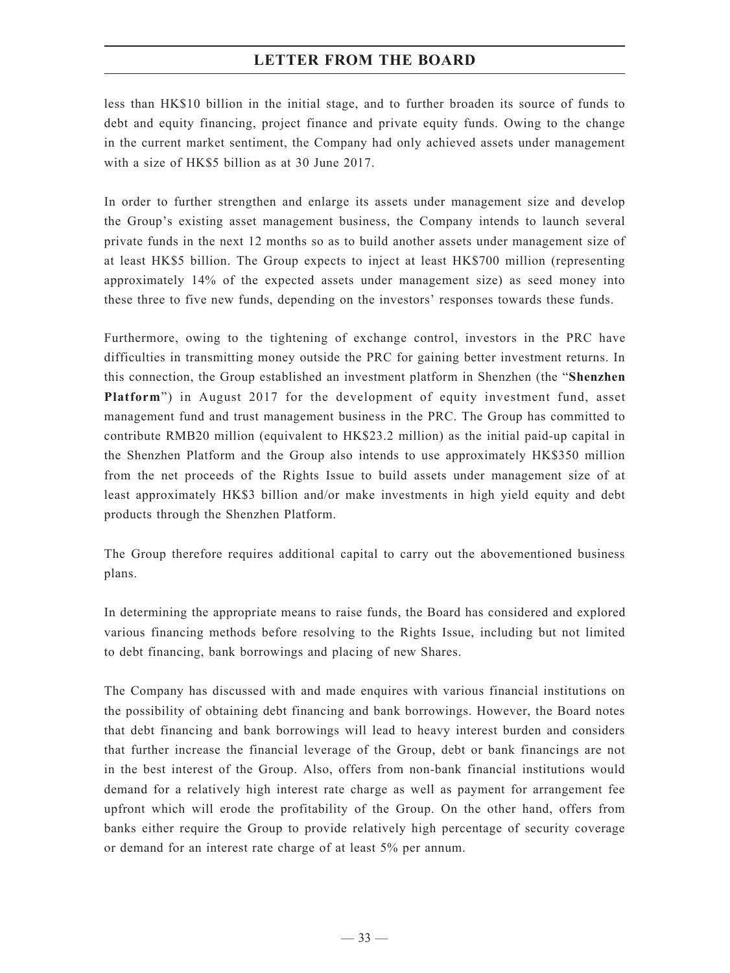less than HK\$10 billion in the initial stage, and to further broaden its source of funds to debt and equity financing, project finance and private equity funds. Owing to the change in the current market sentiment, the Company had only achieved assets under management with a size of HK\$5 billion as at 30 June 2017.

In order to further strengthen and enlarge its assets under management size and develop the Group's existing asset management business, the Company intends to launch several private funds in the next 12 months so as to build another assets under management size of at least HK\$5 billion. The Group expects to inject at least HK\$700 million (representing approximately 14% of the expected assets under management size) as seed money into these three to five new funds, depending on the investors' responses towards these funds.

Furthermore, owing to the tightening of exchange control, investors in the PRC have difficulties in transmitting money outside the PRC for gaining better investment returns. In this connection, the Group established an investment platform in Shenzhen (the "**Shenzhen Platform**") in August 2017 for the development of equity investment fund, asset management fund and trust management business in the PRC. The Group has committed to contribute RMB20 million (equivalent to HK\$23.2 million) as the initial paid-up capital in the Shenzhen Platform and the Group also intends to use approximately HK\$350 million from the net proceeds of the Rights Issue to build assets under management size of at least approximately HK\$3 billion and/or make investments in high yield equity and debt products through the Shenzhen Platform.

The Group therefore requires additional capital to carry out the abovementioned business plans.

In determining the appropriate means to raise funds, the Board has considered and explored various financing methods before resolving to the Rights Issue, including but not limited to debt financing, bank borrowings and placing of new Shares.

The Company has discussed with and made enquires with various financial institutions on the possibility of obtaining debt financing and bank borrowings. However, the Board notes that debt financing and bank borrowings will lead to heavy interest burden and considers that further increase the financial leverage of the Group, debt or bank financings are not in the best interest of the Group. Also, offers from non-bank financial institutions would demand for a relatively high interest rate charge as well as payment for arrangement fee upfront which will erode the profitability of the Group. On the other hand, offers from banks either require the Group to provide relatively high percentage of security coverage or demand for an interest rate charge of at least 5% per annum.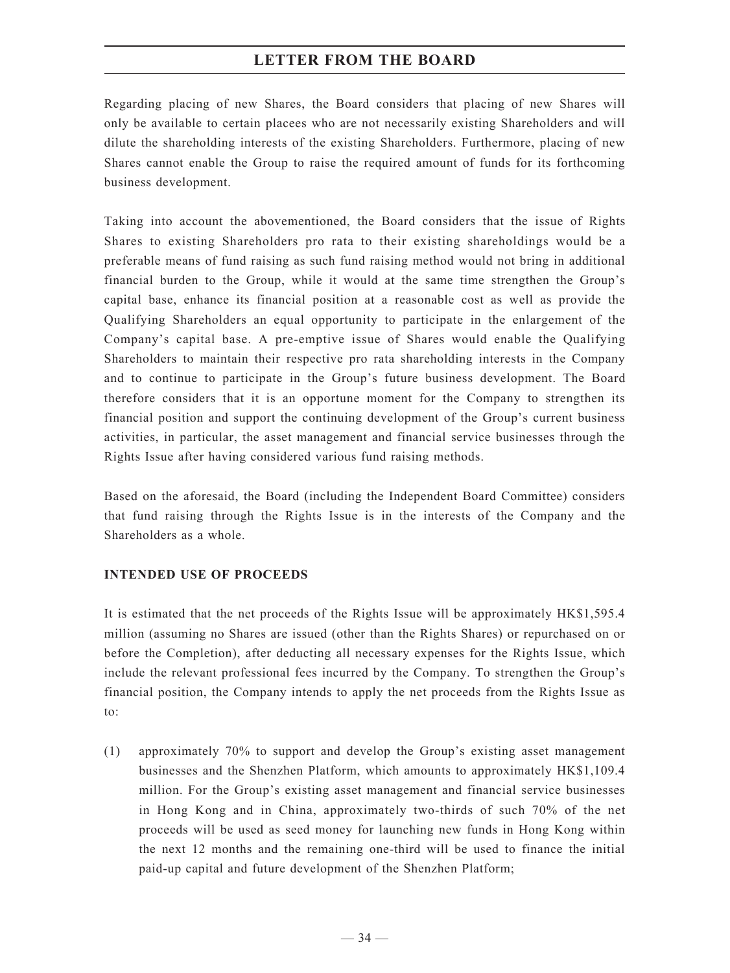Regarding placing of new Shares, the Board considers that placing of new Shares will only be available to certain placees who are not necessarily existing Shareholders and will dilute the shareholding interests of the existing Shareholders. Furthermore, placing of new Shares cannot enable the Group to raise the required amount of funds for its forthcoming business development.

Taking into account the abovementioned, the Board considers that the issue of Rights Shares to existing Shareholders pro rata to their existing shareholdings would be a preferable means of fund raising as such fund raising method would not bring in additional financial burden to the Group, while it would at the same time strengthen the Group's capital base, enhance its financial position at a reasonable cost as well as provide the Qualifying Shareholders an equal opportunity to participate in the enlargement of the Company's capital base. A pre-emptive issue of Shares would enable the Qualifying Shareholders to maintain their respective pro rata shareholding interests in the Company and to continue to participate in the Group's future business development. The Board therefore considers that it is an opportune moment for the Company to strengthen its financial position and support the continuing development of the Group's current business activities, in particular, the asset management and financial service businesses through the Rights Issue after having considered various fund raising methods.

Based on the aforesaid, the Board (including the Independent Board Committee) considers that fund raising through the Rights Issue is in the interests of the Company and the Shareholders as a whole.

## **INTENDED USE OF PROCEEDS**

It is estimated that the net proceeds of the Rights Issue will be approximately HK\$1,595.4 million (assuming no Shares are issued (other than the Rights Shares) or repurchased on or before the Completion), after deducting all necessary expenses for the Rights Issue, which include the relevant professional fees incurred by the Company. To strengthen the Group's financial position, the Company intends to apply the net proceeds from the Rights Issue as to:

(1) approximately 70% to support and develop the Group's existing asset management businesses and the Shenzhen Platform, which amounts to approximately HK\$1,109.4 million. For the Group's existing asset management and financial service businesses in Hong Kong and in China, approximately two-thirds of such 70% of the net proceeds will be used as seed money for launching new funds in Hong Kong within the next 12 months and the remaining one-third will be used to finance the initial paid-up capital and future development of the Shenzhen Platform;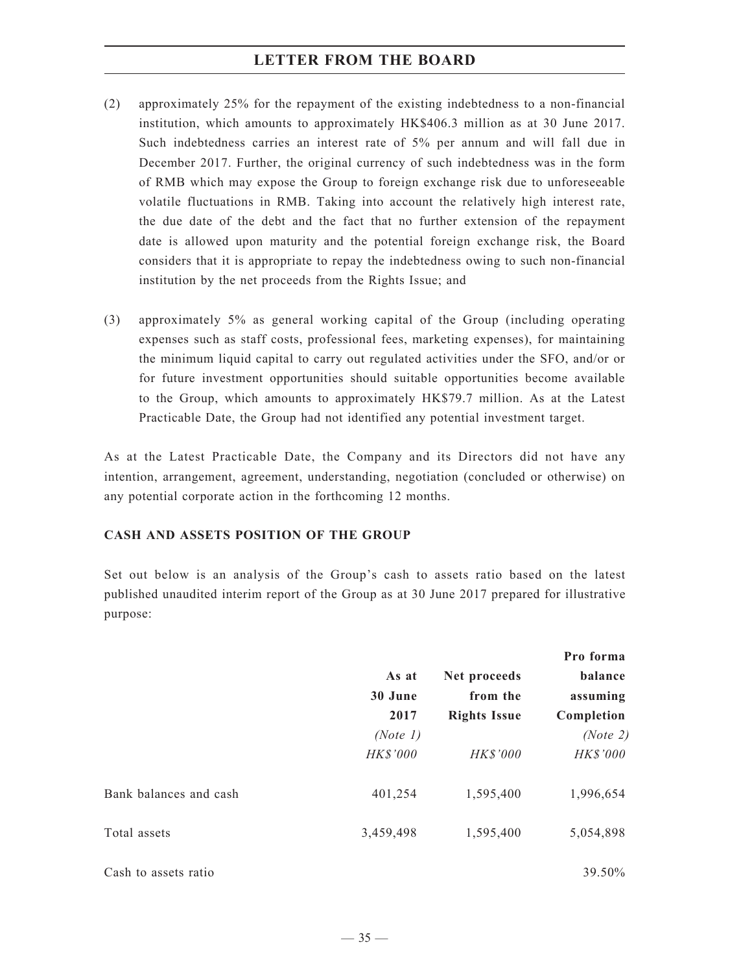- (2) approximately 25% for the repayment of the existing indebtedness to a non-financial institution, which amounts to approximately HK\$406.3 million as at 30 June 2017. Such indebtedness carries an interest rate of 5% per annum and will fall due in December 2017. Further, the original currency of such indebtedness was in the form of RMB which may expose the Group to foreign exchange risk due to unforeseeable volatile fluctuations in RMB. Taking into account the relatively high interest rate, the due date of the debt and the fact that no further extension of the repayment date is allowed upon maturity and the potential foreign exchange risk, the Board considers that it is appropriate to repay the indebtedness owing to such non-financial institution by the net proceeds from the Rights Issue; and
- (3) approximately 5% as general working capital of the Group (including operating expenses such as staff costs, professional fees, marketing expenses), for maintaining the minimum liquid capital to carry out regulated activities under the SFO, and/or or for future investment opportunities should suitable opportunities become available to the Group, which amounts to approximately HK\$79.7 million. As at the Latest Practicable Date, the Group had not identified any potential investment target.

As at the Latest Practicable Date, the Company and its Directors did not have any intention, arrangement, agreement, understanding, negotiation (concluded or otherwise) on any potential corporate action in the forthcoming 12 months.

## **CASH AND ASSETS POSITION OF THE GROUP**

Set out below is an analysis of the Group's cash to assets ratio based on the latest published unaudited interim report of the Group as at 30 June 2017 prepared for illustrative purpose:

|                        |                          |                     | Pro forma<br>balance<br>assuming<br>Completion |  |
|------------------------|--------------------------|---------------------|------------------------------------------------|--|
|                        | As at<br>30 June<br>2017 | Net proceeds        |                                                |  |
|                        |                          | from the            |                                                |  |
|                        |                          | <b>Rights Issue</b> |                                                |  |
|                        | (Note 1)                 |                     | (Note 2)                                       |  |
|                        | HK\$'000                 | HK\$'000            | HK\$'000                                       |  |
| Bank balances and cash | 401,254                  | 1,595,400           | 1,996,654                                      |  |
| Total assets           | 3,459,498                | 1,595,400           | 5,054,898                                      |  |
| Cash to assets ratio   |                          |                     | 39.50%                                         |  |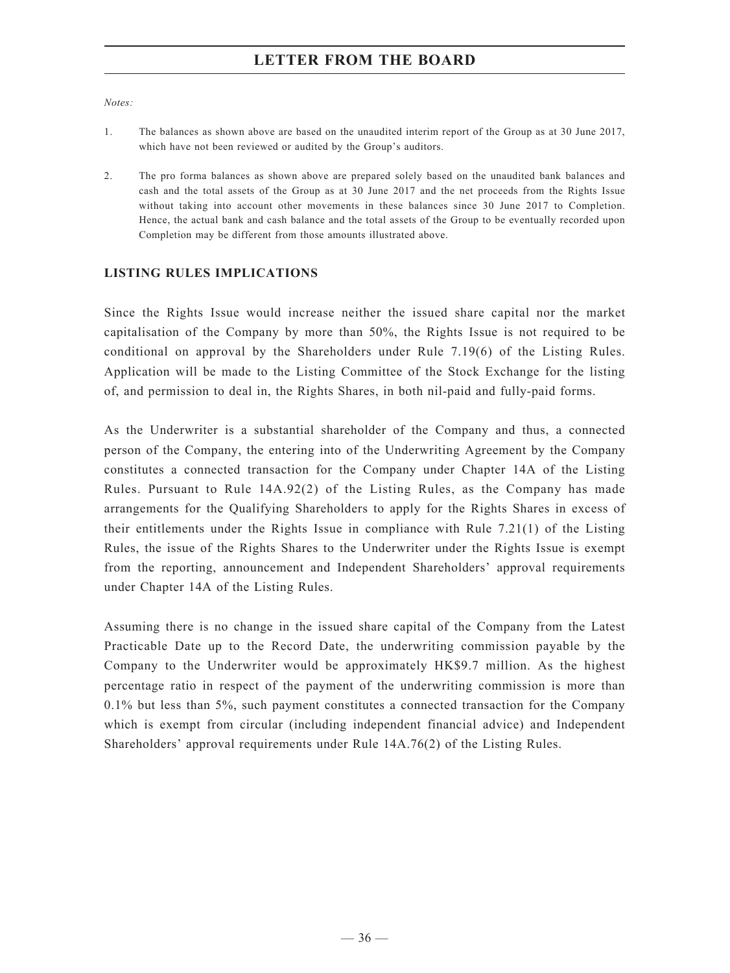*Notes:*

- 1. The balances as shown above are based on the unaudited interim report of the Group as at 30 June 2017, which have not been reviewed or audited by the Group's auditors.
- 2. The pro forma balances as shown above are prepared solely based on the unaudited bank balances and cash and the total assets of the Group as at 30 June 2017 and the net proceeds from the Rights Issue without taking into account other movements in these balances since 30 June 2017 to Completion. Hence, the actual bank and cash balance and the total assets of the Group to be eventually recorded upon Completion may be different from those amounts illustrated above.

#### **LISTING RULES IMPLICATIONS**

Since the Rights Issue would increase neither the issued share capital nor the market capitalisation of the Company by more than 50%, the Rights Issue is not required to be conditional on approval by the Shareholders under Rule 7.19(6) of the Listing Rules. Application will be made to the Listing Committee of the Stock Exchange for the listing of, and permission to deal in, the Rights Shares, in both nil-paid and fully-paid forms.

As the Underwriter is a substantial shareholder of the Company and thus, a connected person of the Company, the entering into of the Underwriting Agreement by the Company constitutes a connected transaction for the Company under Chapter 14A of the Listing Rules. Pursuant to Rule 14A.92(2) of the Listing Rules, as the Company has made arrangements for the Qualifying Shareholders to apply for the Rights Shares in excess of their entitlements under the Rights Issue in compliance with Rule 7.21(1) of the Listing Rules, the issue of the Rights Shares to the Underwriter under the Rights Issue is exempt from the reporting, announcement and Independent Shareholders' approval requirements under Chapter 14A of the Listing Rules.

Assuming there is no change in the issued share capital of the Company from the Latest Practicable Date up to the Record Date, the underwriting commission payable by the Company to the Underwriter would be approximately HK\$9.7 million. As the highest percentage ratio in respect of the payment of the underwriting commission is more than 0.1% but less than 5%, such payment constitutes a connected transaction for the Company which is exempt from circular (including independent financial advice) and Independent Shareholders' approval requirements under Rule 14A.76(2) of the Listing Rules.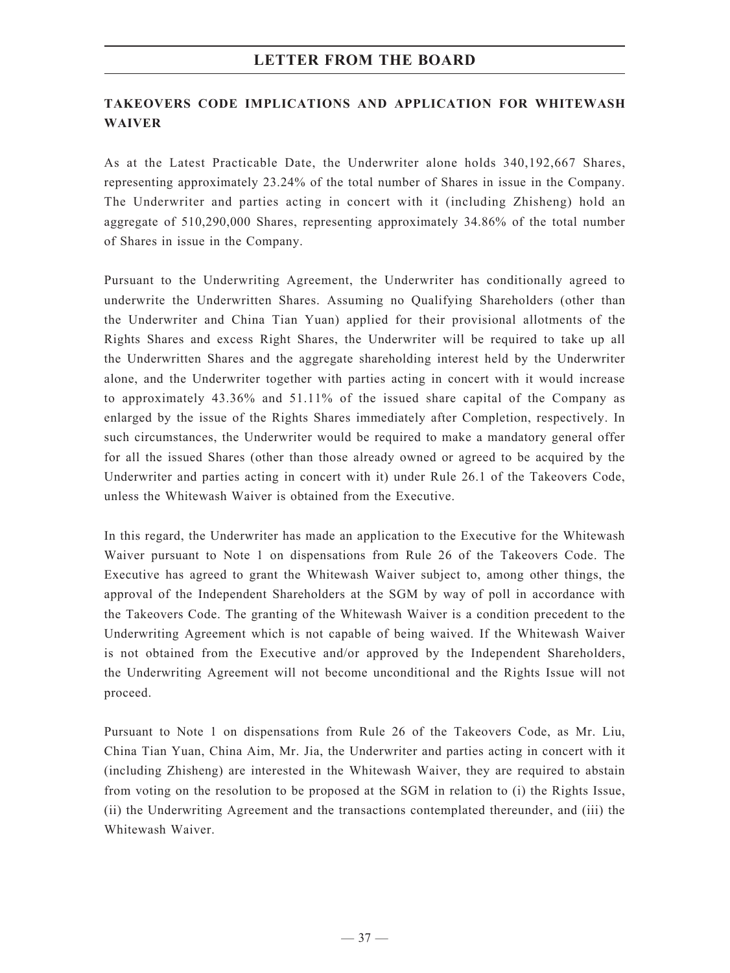## **TAKEOVERS CODE IMPLICATIONS AND APPLICATION FOR WHITEWASH WAIVER**

As at the Latest Practicable Date, the Underwriter alone holds 340,192,667 Shares, representing approximately 23.24% of the total number of Shares in issue in the Company. The Underwriter and parties acting in concert with it (including Zhisheng) hold an aggregate of 510,290,000 Shares, representing approximately 34.86% of the total number of Shares in issue in the Company.

Pursuant to the Underwriting Agreement, the Underwriter has conditionally agreed to underwrite the Underwritten Shares. Assuming no Qualifying Shareholders (other than the Underwriter and China Tian Yuan) applied for their provisional allotments of the Rights Shares and excess Right Shares, the Underwriter will be required to take up all the Underwritten Shares and the aggregate shareholding interest held by the Underwriter alone, and the Underwriter together with parties acting in concert with it would increase to approximately 43.36% and 51.11% of the issued share capital of the Company as enlarged by the issue of the Rights Shares immediately after Completion, respectively. In such circumstances, the Underwriter would be required to make a mandatory general offer for all the issued Shares (other than those already owned or agreed to be acquired by the Underwriter and parties acting in concert with it) under Rule 26.1 of the Takeovers Code, unless the Whitewash Waiver is obtained from the Executive.

In this regard, the Underwriter has made an application to the Executive for the Whitewash Waiver pursuant to Note 1 on dispensations from Rule 26 of the Takeovers Code. The Executive has agreed to grant the Whitewash Waiver subject to, among other things, the approval of the Independent Shareholders at the SGM by way of poll in accordance with the Takeovers Code. The granting of the Whitewash Waiver is a condition precedent to the Underwriting Agreement which is not capable of being waived. If the Whitewash Waiver is not obtained from the Executive and/or approved by the Independent Shareholders, the Underwriting Agreement will not become unconditional and the Rights Issue will not proceed.

Pursuant to Note 1 on dispensations from Rule 26 of the Takeovers Code, as Mr. Liu, China Tian Yuan, China Aim, Mr. Jia, the Underwriter and parties acting in concert with it (including Zhisheng) are interested in the Whitewash Waiver, they are required to abstain from voting on the resolution to be proposed at the SGM in relation to (i) the Rights Issue, (ii) the Underwriting Agreement and the transactions contemplated thereunder, and (iii) the Whitewash Waiver.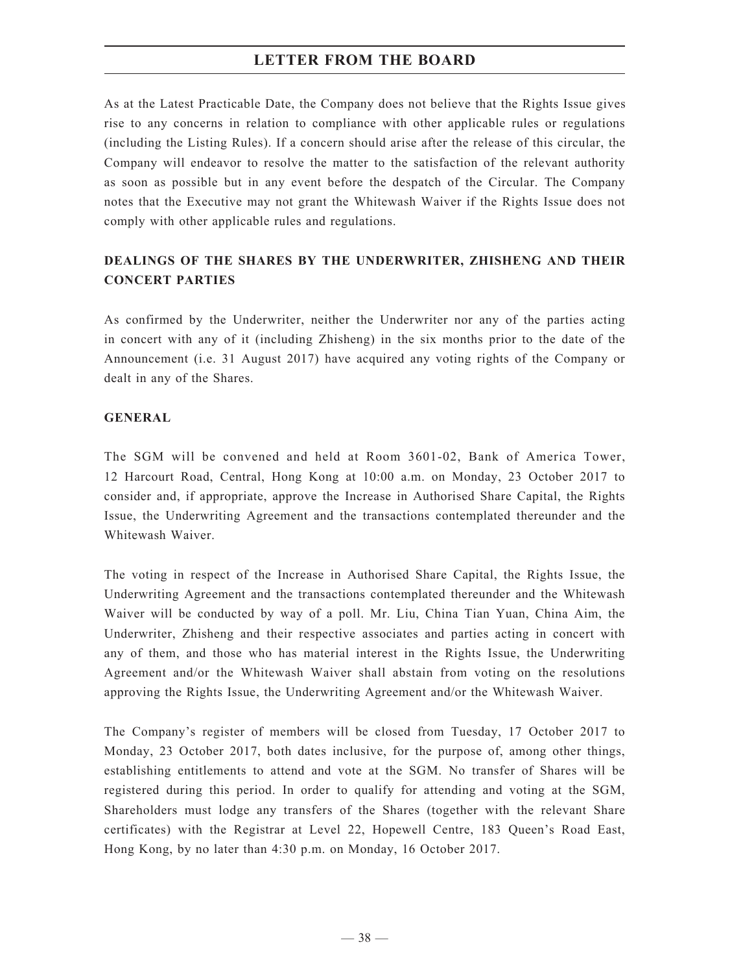As at the Latest Practicable Date, the Company does not believe that the Rights Issue gives rise to any concerns in relation to compliance with other applicable rules or regulations (including the Listing Rules). If a concern should arise after the release of this circular, the Company will endeavor to resolve the matter to the satisfaction of the relevant authority as soon as possible but in any event before the despatch of the Circular. The Company notes that the Executive may not grant the Whitewash Waiver if the Rights Issue does not comply with other applicable rules and regulations.

## **DEALINGS OF THE SHARES BY THE UNDERWRITER, ZHISHENG AND THEIR CONCERT PARTIES**

As confirmed by the Underwriter, neither the Underwriter nor any of the parties acting in concert with any of it (including Zhisheng) in the six months prior to the date of the Announcement (i.e. 31 August 2017) have acquired any voting rights of the Company or dealt in any of the Shares.

#### **GENERAL**

The SGM will be convened and held at Room 3601-02, Bank of America Tower, 12 Harcourt Road, Central, Hong Kong at 10:00 a.m. on Monday, 23 October 2017 to consider and, if appropriate, approve the Increase in Authorised Share Capital, the Rights Issue, the Underwriting Agreement and the transactions contemplated thereunder and the Whitewash Waiver.

The voting in respect of the Increase in Authorised Share Capital, the Rights Issue, the Underwriting Agreement and the transactions contemplated thereunder and the Whitewash Waiver will be conducted by way of a poll. Mr. Liu, China Tian Yuan, China Aim, the Underwriter, Zhisheng and their respective associates and parties acting in concert with any of them, and those who has material interest in the Rights Issue, the Underwriting Agreement and/or the Whitewash Waiver shall abstain from voting on the resolutions approving the Rights Issue, the Underwriting Agreement and/or the Whitewash Waiver.

The Company's register of members will be closed from Tuesday, 17 October 2017 to Monday, 23 October 2017, both dates inclusive, for the purpose of, among other things, establishing entitlements to attend and vote at the SGM. No transfer of Shares will be registered during this period. In order to qualify for attending and voting at the SGM, Shareholders must lodge any transfers of the Shares (together with the relevant Share certificates) with the Registrar at Level 22, Hopewell Centre, 183 Queen's Road East, Hong Kong, by no later than 4:30 p.m. on Monday, 16 October 2017.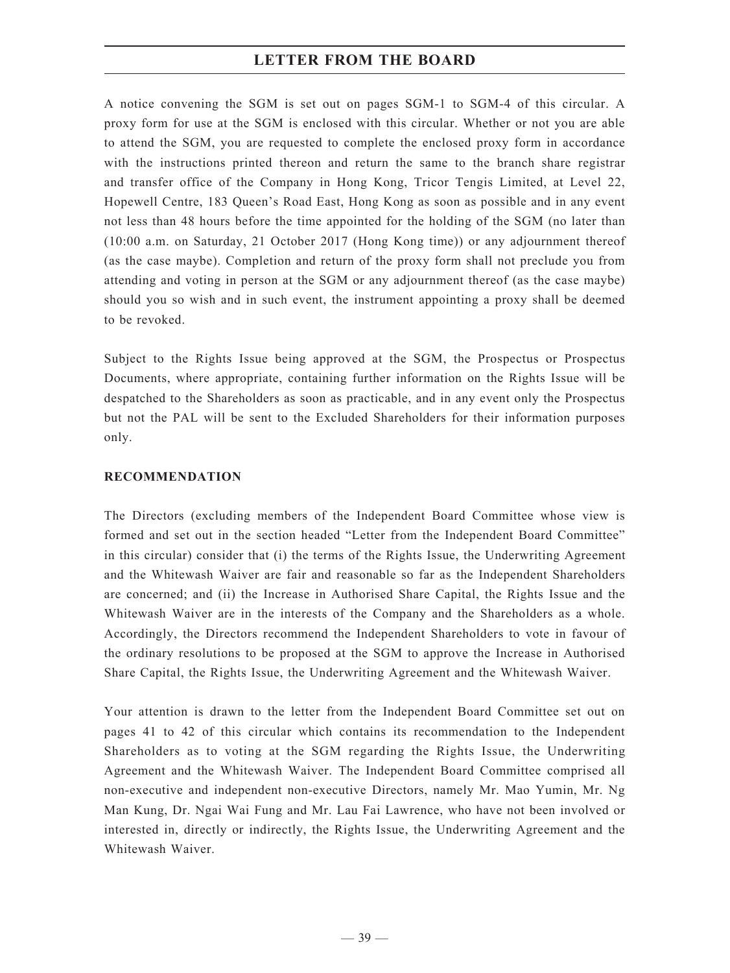A notice convening the SGM is set out on pages SGM-1 to SGM-4 of this circular. A proxy form for use at the SGM is enclosed with this circular. Whether or not you are able to attend the SGM, you are requested to complete the enclosed proxy form in accordance with the instructions printed thereon and return the same to the branch share registrar and transfer office of the Company in Hong Kong, Tricor Tengis Limited, at Level 22, Hopewell Centre, 183 Queen's Road East, Hong Kong as soon as possible and in any event not less than 48 hours before the time appointed for the holding of the SGM (no later than (10:00 a.m. on Saturday, 21 October 2017 (Hong Kong time)) or any adjournment thereof (as the case maybe). Completion and return of the proxy form shall not preclude you from attending and voting in person at the SGM or any adjournment thereof (as the case maybe) should you so wish and in such event, the instrument appointing a proxy shall be deemed to be revoked.

Subject to the Rights Issue being approved at the SGM, the Prospectus or Prospectus Documents, where appropriate, containing further information on the Rights Issue will be despatched to the Shareholders as soon as practicable, and in any event only the Prospectus but not the PAL will be sent to the Excluded Shareholders for their information purposes only.

#### **RECOMMENDATION**

The Directors (excluding members of the Independent Board Committee whose view is formed and set out in the section headed "Letter from the Independent Board Committee" in this circular) consider that (i) the terms of the Rights Issue, the Underwriting Agreement and the Whitewash Waiver are fair and reasonable so far as the Independent Shareholders are concerned; and (ii) the Increase in Authorised Share Capital, the Rights Issue and the Whitewash Waiver are in the interests of the Company and the Shareholders as a whole. Accordingly, the Directors recommend the Independent Shareholders to vote in favour of the ordinary resolutions to be proposed at the SGM to approve the Increase in Authorised Share Capital, the Rights Issue, the Underwriting Agreement and the Whitewash Waiver.

Your attention is drawn to the letter from the Independent Board Committee set out on pages 41 to 42 of this circular which contains its recommendation to the Independent Shareholders as to voting at the SGM regarding the Rights Issue, the Underwriting Agreement and the Whitewash Waiver. The Independent Board Committee comprised all non-executive and independent non-executive Directors, namely Mr. Mao Yumin, Mr. Ng Man Kung, Dr. Ngai Wai Fung and Mr. Lau Fai Lawrence, who have not been involved or interested in, directly or indirectly, the Rights Issue, the Underwriting Agreement and the Whitewash Waiver.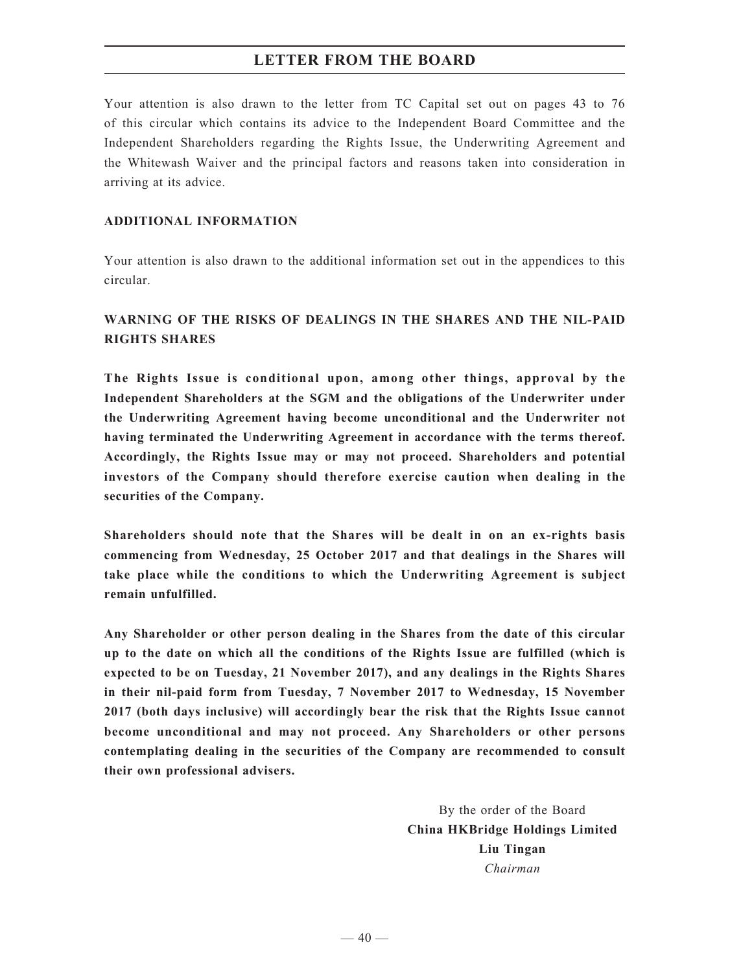Your attention is also drawn to the letter from TC Capital set out on pages 43 to 76 of this circular which contains its advice to the Independent Board Committee and the Independent Shareholders regarding the Rights Issue, the Underwriting Agreement and the Whitewash Waiver and the principal factors and reasons taken into consideration in arriving at its advice.

## **ADDITIONAL INFORMATION**

Your attention is also drawn to the additional information set out in the appendices to this circular.

# **WARNING OF THE RISKS OF DEALINGS IN THE SHARES AND THE NIL-PAID RIGHTS SHARES**

**The Rights Issue is conditional upon, among other things, approval by the Independent Shareholders at the SGM and the obligations of the Underwriter under the Underwriting Agreement having become unconditional and the Underwriter not having terminated the Underwriting Agreement in accordance with the terms thereof. Accordingly, the Rights Issue may or may not proceed. Shareholders and potential investors of the Company should therefore exercise caution when dealing in the securities of the Company.**

**Shareholders should note that the Shares will be dealt in on an ex-rights basis commencing from Wednesday, 25 October 2017 and that dealings in the Shares will take place while the conditions to which the Underwriting Agreement is subject remain unfulfilled.**

**Any Shareholder or other person dealing in the Shares from the date of this circular up to the date on which all the conditions of the Rights Issue are fulfilled (which is expected to be on Tuesday, 21 November 2017), and any dealings in the Rights Shares in their nil-paid form from Tuesday, 7 November 2017 to Wednesday, 15 November 2017 (both days inclusive) will accordingly bear the risk that the Rights Issue cannot become unconditional and may not proceed. Any Shareholders or other persons contemplating dealing in the securities of the Company are recommended to consult their own professional advisers.**

> By the order of the Board **China HKBridge Holdings Limited Liu Tingan** *Chairman*